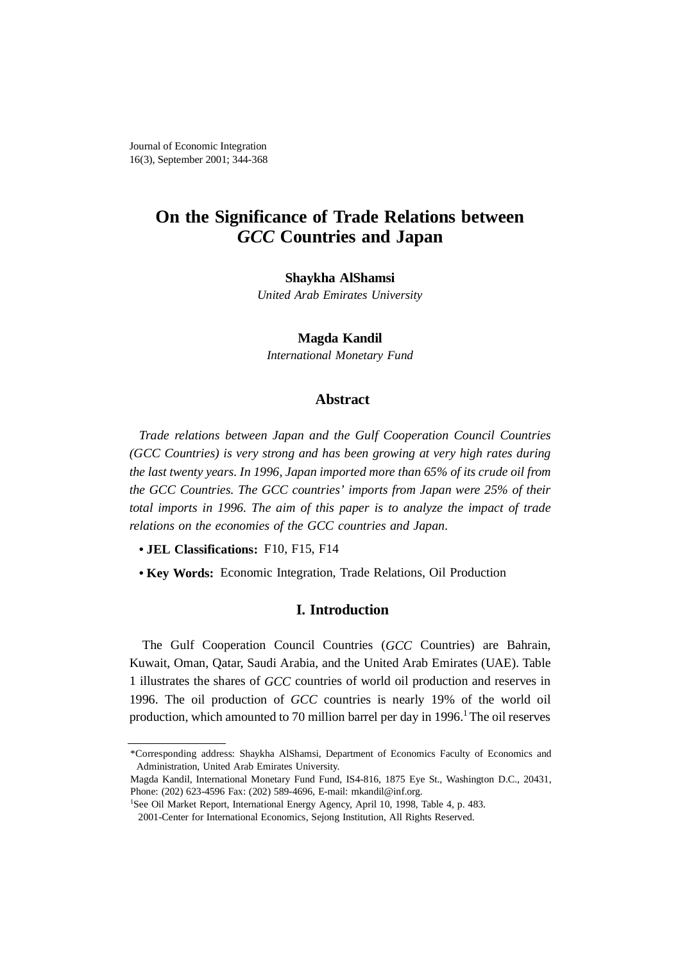# **On the Significance of Trade Relations between** *GCC* **Countries and Japan**

#### **Shaykha AlShamsi**

*United Arab Emirates University*

#### **Magda Kandil**

*International Monetary Fund*

## **Abstract**

*Trade relations between Japan and the Gulf Cooperation Council Countries (GCC Countries) is very strong and has been growing at very high rates during the last twenty years. In 1996, Japan imported more than 65% of its crude oil from the GCC Countries. The GCC countries' imports from Japan were 25% of their total imports in 1996. The aim of this paper is to analyze the impact of trade relations on the economies of the GCC countries and Japan.*

- **JEL Classifications:** F10, F15, F14
- **Key Words:** Economic Integration, Trade Relations, Oil Production

## **I. Introduction**

The Gulf Cooperation Council Countries (*GCC* Countries) are Bahrain, Kuwait, Oman, Qatar, Saudi Arabia, and the United Arab Emirates (UAE). Table 1 illustrates the shares of *GCC* countries of world oil production and reserves in 1996. The oil production of *GCC* countries is nearly 19% of the world oil production, which amounted to 70 million barrel per day in  $1996<sup>1</sup>$  The oil reserves

<sup>\*</sup>Corresponding address: Shaykha AlShamsi, Department of Economics Faculty of Economics and Administration, United Arab Emirates University.

Magda Kandil, International Monetary Fund Fund, IS4-816, 1875 Eye St., Washington D.C., 20431, Phone: (202) 623-4596 Fax: (202) 589-4696, E-mail: mkandil@inf.org.

<sup>&</sup>lt;sup>1</sup>See Oil Market Report, International Energy Agency, April 10, 1998, Table 4, p. 483.

<sup>2001-</sup>Center for International Economics, Sejong Institution, All Rights Reserved.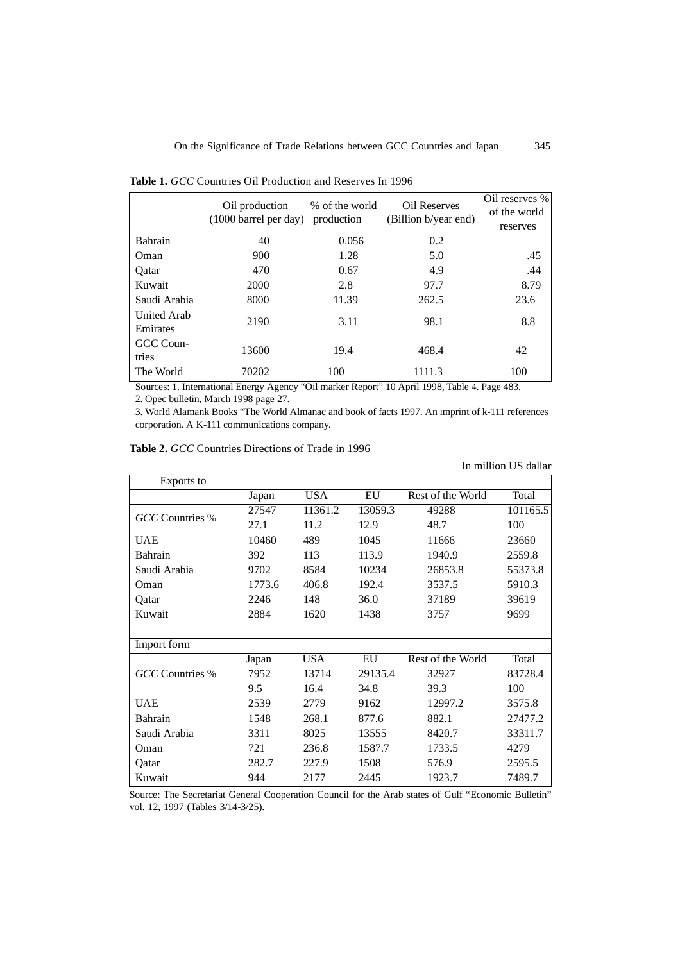|                                | Oil production<br>$(1000 \text{ barrel per day})$                                                                                                                                                                                                                                                                      | % of the world<br>production | <b>Oil Reserves</b><br>(Billion b/year end) | Oil reserves %<br>of the world<br>reserves |
|--------------------------------|------------------------------------------------------------------------------------------------------------------------------------------------------------------------------------------------------------------------------------------------------------------------------------------------------------------------|------------------------------|---------------------------------------------|--------------------------------------------|
| <b>Bahrain</b>                 | 40                                                                                                                                                                                                                                                                                                                     | 0.056                        | 0.2                                         |                                            |
| Oman                           | 900                                                                                                                                                                                                                                                                                                                    | 1.28                         | 5.0                                         | .45                                        |
| Oatar                          | 470                                                                                                                                                                                                                                                                                                                    | 0.67                         | 4.9                                         | .44                                        |
| Kuwait                         | 2000                                                                                                                                                                                                                                                                                                                   | 2.8                          | 97.7                                        | 8.79                                       |
| Saudi Arabia                   | 8000                                                                                                                                                                                                                                                                                                                   | 11.39                        | 262.5                                       | 23.6                                       |
| <b>United Arab</b><br>Emirates | 2190                                                                                                                                                                                                                                                                                                                   | 3.11                         | 98.1                                        | 8.8                                        |
| GCC Coun-<br>tries             | 13600                                                                                                                                                                                                                                                                                                                  | 19.4                         | 468.4                                       | 42                                         |
| The World                      | 70202<br>$R_{\text{2}}$ (1) $R_{\text{2}}$ (1) $R_{\text{2}}$ (1) $R_{\text{2}}$ (1) $R_{\text{2}}$ (1) $R_{\text{2}}$ (1) $R_{\text{2}}$ (1) $R_{\text{2}}$ (1) $R_{\text{2}}$ (1) $R_{\text{2}}$ (1) $R_{\text{2}}$ (1) $R_{\text{2}}$ (1) $R_{\text{2}}$ (1) $R_{\text{2}}$ (1) $R_{\text{2}}$ (1) $R_{\text{2}}$ ( | 100                          | 1111.3                                      | 100                                        |

**Table 1.** *GCC* Countries Oil Production and Reserves In 1996

Sources: 1. International Energy Agency "Oil marker Report" 10 April 1998, Table 4. Page 483.

2. Opec bulletin, March 1998 page 27.

3. World Alamank Books "The World Almanac and book of facts 1997. An imprint of k-111 references corporation. A K-111 communications company.

| <b>Table 2.</b> GCC Countries Directions of Trade in 1996 |  |
|-----------------------------------------------------------|--|
|-----------------------------------------------------------|--|

In million US dallar

| Exports to             |        |            |         |                   |          |
|------------------------|--------|------------|---------|-------------------|----------|
|                        | Japan  | <b>USA</b> | EU      | Rest of the World | Total    |
| GCC Countries %        | 27547  | 11361.2    | 13059.3 | 49288             | 101165.5 |
|                        | 27.1   | 11.2       | 12.9    | 48.7              | 100      |
| <b>UAE</b>             | 10460  | 489        | 1045    | 11666             | 23660    |
| Bahrain                | 392    | 113        | 113.9   | 1940.9            | 2559.8   |
| Saudi Arabia           | 9702   | 8584       | 10234   | 26853.8           | 55373.8  |
| Oman                   | 1773.6 | 406.8      | 192.4   | 3537.5            | 5910.3   |
| Qatar                  | 2246   | 148        | 36.0    | 37189             | 39619    |
| Kuwait                 | 2884   | 1620       | 1438    | 3757              | 9699     |
|                        |        |            |         |                   |          |
| Import form            |        |            |         |                   |          |
|                        | Japan  | <b>USA</b> | EU      | Rest of the World | Total    |
| <b>GCC</b> Countries % | 7952   | 13714      | 29135.4 | 32927             | 83728.4  |
|                        | 9.5    | 16.4       | 34.8    | 39.3              | 100      |
| <b>UAE</b>             | 2539   | 2779       | 9162    | 12997.2           | 3575.8   |
| Bahrain                | 1548   | 268.1      | 877.6   | 882.1             | 27477.2  |
| Saudi Arabia           | 3311   | 8025       | 13555   | 8420.7            | 33311.7  |
| Oman                   | 721    | 236.8      | 1587.7  | 1733.5            | 4279     |
| Qatar                  | 282.7  | 227.9      | 1508    | 576.9             | 2595.5   |
| Kuwait                 | 944    | 2177       | 2445    | 1923.7            | 7489.7   |

Source: The Secretariat General Cooperation Council for the Arab states of Gulf "Economic Bulletin" vol. 12, 1997 (Tables 3/14-3/25).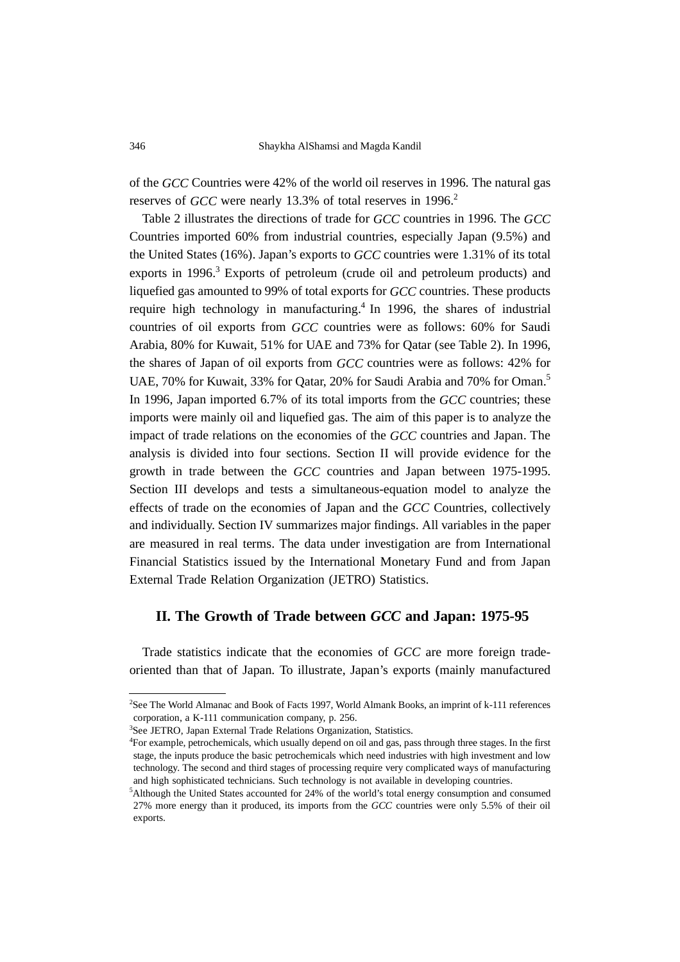of the *GCC* Countries were 42% of the world oil reserves in 1996. The natural gas reserves of *GCC* were nearly 13.3% of total reserves in 1996.<sup>2</sup>

Table 2 illustrates the directions of trade for *GCC* countries in 1996. The *GCC* Countries imported 60% from industrial countries, especially Japan (9.5%) and the United States (16%). Japan's exports to *GCC* countries were 1.31% of its total exports in 1996.<sup>3</sup> Exports of petroleum (crude oil and petroleum products) and liquefied gas amounted to 99% of total exports for *GCC* countries. These products require high technology in manufacturing.<sup>4</sup> In 1996, the shares of industrial countries of oil exports from *GCC* countries were as follows: 60% for Saudi Arabia, 80% for Kuwait, 51% for UAE and 73% for Qatar (see Table 2). In 1996, the shares of Japan of oil exports from *GCC* countries were as follows: 42% for UAE, 70% for Kuwait, 33% for Qatar, 20% for Saudi Arabia and 70% for Oman.<sup>5</sup> In 1996, Japan imported 6.7% of its total imports from the *GCC* countries; these imports were mainly oil and liquefied gas. The aim of this paper is to analyze the impact of trade relations on the economies of the *GCC* countries and Japan. The analysis is divided into four sections. Section II will provide evidence for the growth in trade between the *GCC* countries and Japan between 1975-1995. Section III develops and tests a simultaneous-equation model to analyze the effects of trade on the economies of Japan and the *GCC* Countries, collectively and individually. Section IV summarizes major findings. All variables in the paper are measured in real terms. The data under investigation are from International Financial Statistics issued by the International Monetary Fund and from Japan External Trade Relation Organization (JETRO) Statistics.

# **II. The Growth of Trade between** *GCC* **and Japan: 1975-95**

Trade statistics indicate that the economies of *GCC* are more foreign tradeoriented than that of Japan. To illustrate, Japan's exports (mainly manufactured

<sup>2</sup> See The World Almanac and Book of Facts 1997, World Almank Books, an imprint of k-111 references corporation, a K-111 communication company, p. 256.

<sup>3</sup> See JETRO, Japan External Trade Relations Organization, Statistics.

<sup>4</sup> For example, petrochemicals, which usually depend on oil and gas, pass through three stages. In the first stage, the inputs produce the basic petrochemicals which need industries with high investment and low technology. The second and third stages of processing require very complicated ways of manufacturing and high sophisticated technicians. Such technology is not available in developing countries.

<sup>5</sup> Although the United States accounted for 24% of the world's total energy consumption and consumed 27% more energy than it produced, its imports from the *GCC* countries were only 5.5% of their oil exports.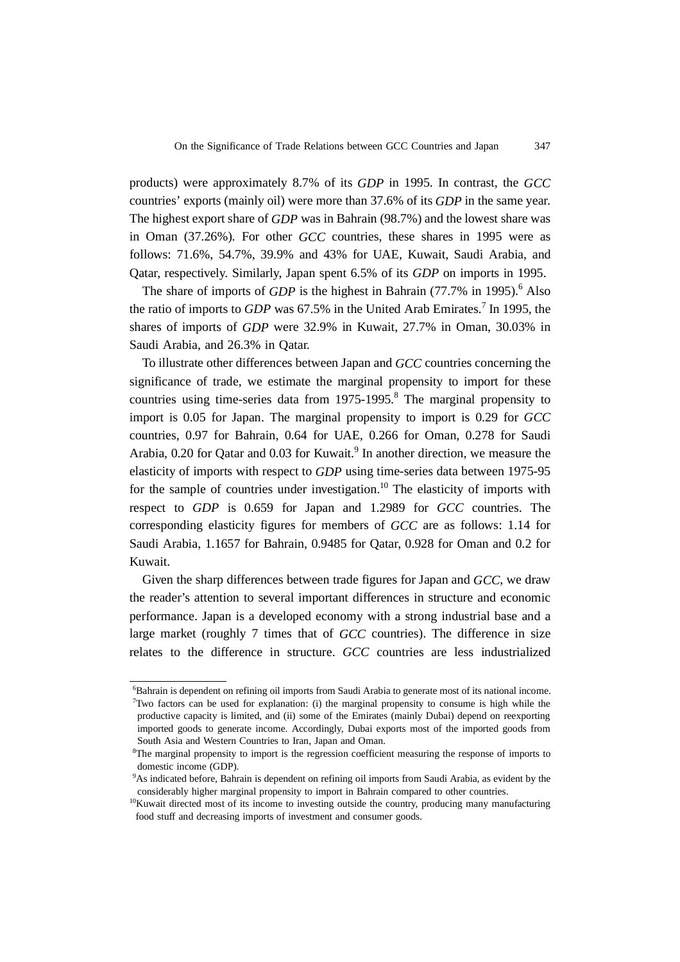products) were approximately 8.7% of its *GDP* in 1995. In contrast, the *GCC* countries' exports (mainly oil) were more than 37.6% of its *GDP* in the same year. The highest export share of *GDP* was in Bahrain (98.7%) and the lowest share was in Oman (37.26%). For other *GCC* countries, these shares in 1995 were as follows: 71.6%, 54.7%, 39.9% and 43% for UAE, Kuwait, Saudi Arabia, and Qatar, respectively. Similarly, Japan spent 6.5% of its *GDP* on imports in 1995.

The share of imports of *GDP* is the highest in Bahrain (77.7% in 1995).<sup>6</sup> Also the ratio of imports to *GDP* was 67.5% in the United Arab Emirates.<sup>7</sup> In 1995, the shares of imports of *GDP* were 32.9% in Kuwait, 27.7% in Oman, 30.03% in Saudi Arabia, and 26.3% in Qatar.

To illustrate other differences between Japan and *GCC* countries concerning the significance of trade, we estimate the marginal propensity to import for these countries using time-series data from 1975-1995.<sup>8</sup> The marginal propensity to import is 0.05 for Japan. The marginal propensity to import is 0.29 for *GCC* countries, 0.97 for Bahrain, 0.64 for UAE, 0.266 for Oman, 0.278 for Saudi Arabia, 0.20 for Qatar and 0.03 for Kuwait.<sup>9</sup> In another direction, we measure the elasticity of imports with respect to *GDP* using time-series data between 1975-95 for the sample of countries under investigation.<sup>10</sup> The elasticity of imports with respect to *GDP* is 0.659 for Japan and 1.2989 for *GCC* countries. The corresponding elasticity figures for members of *GCC* are as follows: 1.14 for Saudi Arabia, 1.1657 for Bahrain, 0.9485 for Qatar, 0.928 for Oman and 0.2 for Kuwait.

Given the sharp differences between trade figures for Japan and *GCC*, we draw the reader's attention to several important differences in structure and economic performance. Japan is a developed economy with a strong industrial base and a large market (roughly 7 times that of *GCC* countries). The difference in size relates to the difference in structure. *GCC* countries are less industrialized

<sup>&</sup>lt;sup>6</sup>Bahrain is dependent on refining oil imports from Saudi Arabia to generate most of its national income. <sup>7</sup>Two factors can be used for explanation: (i) the marginal propensity to consume is high while the productive capacity is limited, and (ii) some of the Emirates (mainly Dubai) depend on reexporting imported goods to generate income. Accordingly, Dubai exports most of the imported goods from South Asia and Western Countries to Iran, Japan and Oman.

<sup>&</sup>lt;sup>8</sup>The marginal propensity to import is the regression coefficient measuring the response of imports to domestic income (GDP).

<sup>&</sup>lt;sup>9</sup>As indicated before, Bahrain is dependent on refining oil imports from Saudi Arabia, as evident by the considerably higher marginal propensity to import in Bahrain compared to other countries.

 $10$ Kuwait directed most of its income to investing outside the country, producing many manufacturing food stuff and decreasing imports of investment and consumer goods.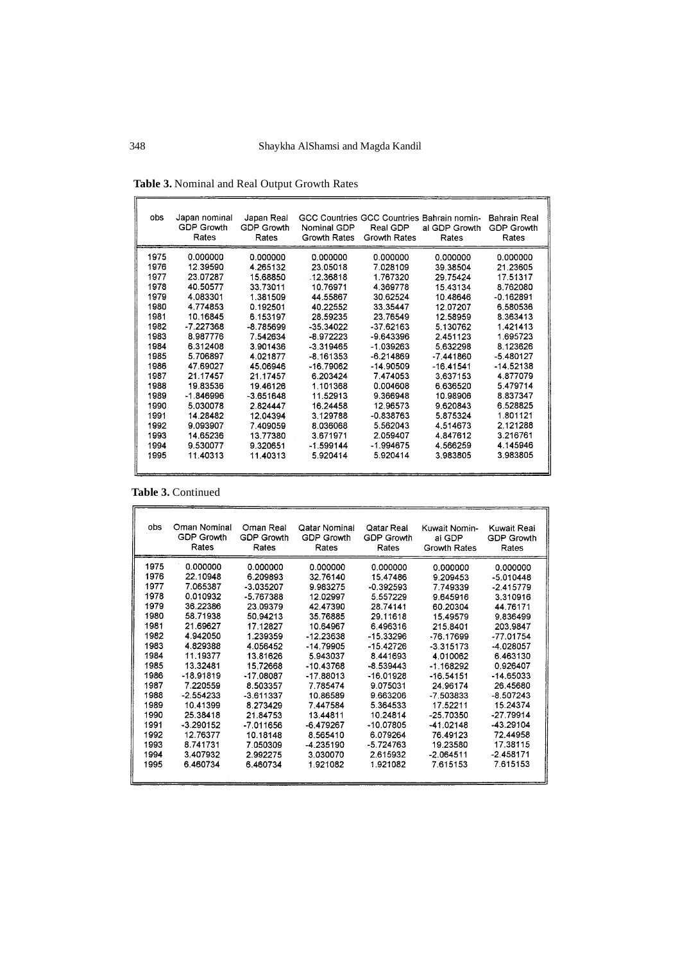| obs  | Japan nominal<br><b>GDP Growth</b><br>Rates | Japan Real<br>GDP Growth<br>Rates | Nominal GDP<br>Growth Rates | Real GDP<br>Growth Rates | GCC Countries GCC Countries Bahrain nomin-<br>al GDP Growth<br>Rates | Bahrain Real<br>GDP Growth<br>Rates |
|------|---------------------------------------------|-----------------------------------|-----------------------------|--------------------------|----------------------------------------------------------------------|-------------------------------------|
| 1975 | 0.000000                                    | 0.000000                          | 0.000000                    | 0.000000                 | 0.000000                                                             | 0.000000                            |
| 1976 | 12.39590                                    | 4.265132                          | 23.05018                    | 7.028109                 | 39 38504                                                             | 21.23605                            |
| 1977 | 23.07287                                    | 15.68850                          | .12.36818                   | 1.767320                 | 29.75424                                                             | 17.51317                            |
| 1978 | 40.50577                                    | 33 73011                          | 10 76971                    | 4 3 6 9 7 7 8            | 15.43134                                                             | 8.762080                            |
| 1979 | 4.083301                                    | 1.381509                          | 44.55867                    | 30.62524                 | 10.48646                                                             | $-0.162891$                         |
| 1980 | 4.774853                                    | 0.192501                          | 40.22552                    | 33.35447                 | 12.07207                                                             | 6.580536                            |
| 1981 | 10.16845                                    | 6.153197                          | 28.59235                    | 23.76549                 | 12.58959                                                             | 8.363413                            |
| 1982 | $-7.227368$                                 | $-8.785699$                       | $-35.34022$                 | $-37.62163$              | 5 130762                                                             | 1.421413                            |
| 1983 | 8.987776                                    | 7.542634                          | $-8.972223$                 | $-9.643396$              | 2.451123                                                             | 1.695723                            |
| 1984 | 6.312408                                    | 3.901436                          | $-3.319465$                 | $-1.039263$              | 5.632298                                                             | 8.123626                            |
| 1985 | 5.706897                                    | 4.021877                          | $-8.161353$                 | $-6.214869$              | $-7.441860$                                                          | $-5.480127$                         |
| 1986 | 47.69027                                    | 45.06946                          | $-16.79062$                 | $-14.90509$              | $-16.41541$                                                          | $-14.52138$                         |
| 1987 | 21.17457                                    | 21.17457                          | 6.203424                    | 7.474053                 | 3.637153                                                             | 4.877079                            |
| 1988 | 19.83536                                    | 1946126                           | 1.101368                    | 0.004608                 | 6 636520                                                             | 5.479714                            |
| 1989 | -1.846996                                   | $-3.651648$                       | 11.52913                    | 9.366948                 | 10.98906                                                             | 8.837347                            |
| 1990 | 5.030078                                    | 2.824447                          | 16.24458                    | 12.96573                 | 9.620843                                                             | 6.528825                            |
| 1991 | 14.28482                                    | 12.04394                          | 3.129788                    | $-0.838763$              | 5.875324                                                             | 1.801121                            |
| 1992 | 9.093907                                    | 7.409059                          | 8.036068                    | 5.562043                 | 4.514673                                                             | 2.121288                            |
| 1993 | 14.65236                                    | 13 77380                          | 3.671971                    | 2.059407                 | 4.847612                                                             | 3.216761                            |
| 1994 | 9.530077                                    | 9.320651                          | $-1.599144$                 | $-1.994675$              | 4.566259                                                             | 4.145946                            |
| 1995 | 11.40313                                    | 11.40313                          | 5.920414                    | 5.920414                 | 3.983805                                                             | 3.983805                            |
|      |                                             |                                   |                             |                          |                                                                      |                                     |

**Table 3.** Nominal and Real Output Growth Rates

**Table 3.** Continued

| obs  | Oman Nominal<br><b>GDP Growth</b><br>Rates | Oman Real<br>GDP Growth<br>Rates | Qatar Nominal<br>GDP Growth<br>Rates | Oatar Real<br>GDP Growth<br>Rates | Kuwait Nomin-<br>al GDP<br>Growth Rates | Kuwait Real<br><b>GDP Growth</b><br>Rates |
|------|--------------------------------------------|----------------------------------|--------------------------------------|-----------------------------------|-----------------------------------------|-------------------------------------------|
| 1975 | 0.000000                                   | 0.000000                         | 0.000000                             | 0.000000                          | 0.000000                                | 0.000000                                  |
| 1976 | 22.10948                                   | 6.209893                         | 32.76140                             | 15.47486                          | 9 209453                                | $-5.010448$                               |
| 1977 | 7.065387                                   | $-3.035207$                      | 9.983275                             | $-0.392593$                       | 7.749339                                | $-2415779$                                |
| 1978 | 0.010932                                   | -5.767388                        | 12.02997                             | 5557229                           | 9.645916                                | 3.310916                                  |
| 1979 | 36.22386                                   | 23.09379                         | 42.47390                             | 28.74141                          | 60.20304                                | 44.76171                                  |
| 1980 | 58.71938                                   | 50.94213                         | 35 76885                             | 29.11618                          | 15.49579                                | 9.836499                                  |
| 1981 | 21.69627                                   | 17.12827                         | 10.64967                             | 6.496316                          | 215.8401                                | 203.9847                                  |
| 1982 | 4.942050                                   | 1.239359                         | $-12.23638$                          | -15.33296                         | $-76.17699$                             | -77.01754                                 |
| 1983 | 4.829388                                   | 4.056452                         | $-14.79905$                          | $-15.42726$                       | $-3.315173$                             | -4.028057                                 |
| 1984 | 11.19377                                   | 13.81626                         | 5.943037                             | 8.441693                          | 4.010062                                | 6.463130                                  |
| 1985 | 13.32481                                   | 15.72668                         | $-10.43768$                          | -8.539443                         | -1 168292                               | 0.926407                                  |
| 1986 | $-18.91819$                                | $-17.08087$                      | $-17.88013$                          | $-16.01928$                       | $-16.54151$                             | $-14.65033$                               |
| 1987 | 7.220559                                   | 8.503357                         | 7.785474                             | 9.075031                          | 24.96174                                | 26.45680                                  |
| 1988 | $-2.554233$                                | $-3.611337$                      | 10.86589                             | 9.663206                          | -7 503833                               | $-8.507243$                               |
| 1989 | 10.41399                                   | 8.273429                         | 7.447584                             | 5.364533                          | 17.52211                                | 15.24374                                  |
| 1990 | 25.38418                                   | 21.84753                         | 13.44811                             | 10.24814                          | $-25.70350$                             | $-27.79914$                               |
| 1991 | $-3.290152$                                | -7.011656                        | -6.479267                            | $-10.07805$                       | -41.02148                               | -43.29104                                 |
| 1992 | 12.76377                                   | 10.18148                         | 8.565410                             | 6.079264                          | 76.49123                                | 72.44958                                  |
| 1993 | 8.741731                                   | 7.050309                         | -4.235190                            | $-5.724763$                       | 19.23580                                | 17.38115                                  |
| 1994 | 3.407932                                   | 2.992275                         | 3 030070                             | 2.615932                          | $-2.064511$                             | -2.458171                                 |
| 1995 | 6.460734                                   | 6.460734                         | 1.921082                             | 1.921082                          | 7.615153                                | 7.615153                                  |
|      |                                            |                                  |                                      |                                   |                                         |                                           |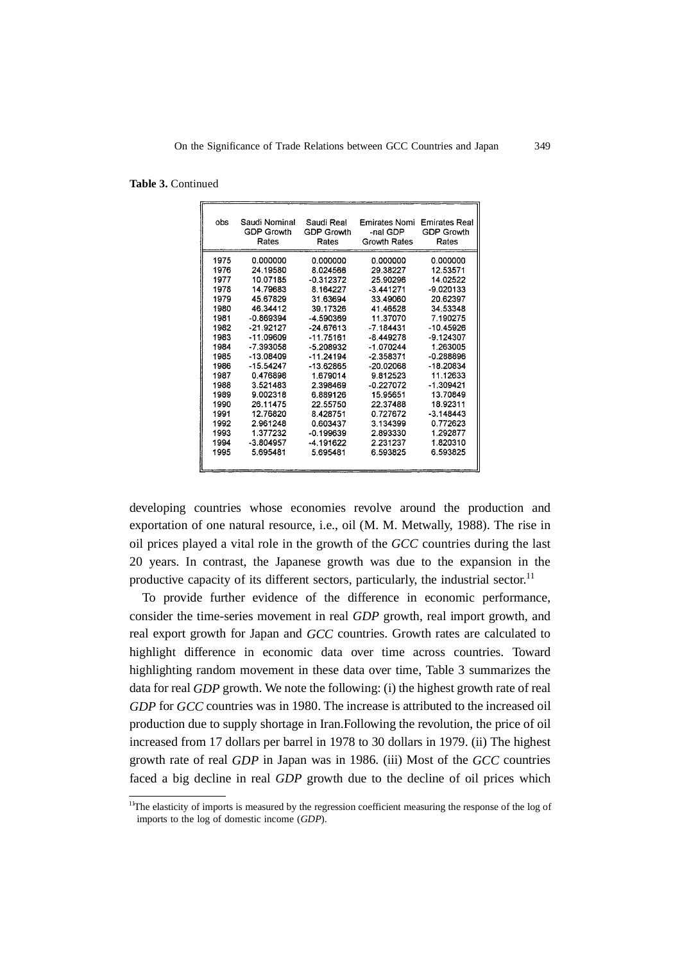|  |  | <b>Table 3. Continued</b> |
|--|--|---------------------------|
|--|--|---------------------------|

| obs  | Saudi Nominal | Saudi Real        | Emirates Nomi | <b>Emirates Real</b> |
|------|---------------|-------------------|---------------|----------------------|
|      | GDP Growth    | <b>GDP Growth</b> | -nal GDP      | <b>GDP Growth</b>    |
|      | Rates         | Rates             | Growth Rates  | Rates                |
| 1975 | 0.000000      | 0.000000          | 0.000000      | 0.000000             |
| 1976 | 24.19580      | 8.024566          | 29.38227      | 12.53571             |
| 1977 | 10.07185      | $-0.312372$       | 25.90296      | 14.02522             |
| 1978 | 14.79683      | 8.164227          | $-3.441271$   | $-9.020133$          |
| 1979 | 45.67829      | 31.63694          | 33 49060      | 20.62397             |
| 1980 | 46.34412      | 39.17326          | 41.46528      | 34.53348             |
| 1981 | $-0.869394$   | $-4.590369$       | 11.37070      | 7.190275             |
| 1982 | $-21.92127$   | $-24.67613$       | $-7.184431$   | $-10.45926$          |
| 1983 | $-11.09609$   | -11.75161         | -8.449278     | -9.124307            |
| 1984 | -7.393058     | -5.208932         | $-1.070244$   | 1.263005             |
| 1985 | -13.08409     | $-11.24194$       | $-2.358371$   | $-0.288896$          |
| 1986 | $-15.54247$   | $-13.62865$       | -20.02068     | $-18.20834$          |
| 1987 | 0.476898      | 1.679014          | 9.812523      | 11.12633             |
| 1988 | 3.521483      | 2398469           | $-0.227072$   | $-1.309421$          |
| 1989 | 9.002318      | 6.889126          | 1595651       | 13.70849             |
| 1990 | 26.11475      | 22.55750          | 22.37488      | 18.92311             |
| 1991 | 12.76820      | 8428751           | 0.727672      | $-3.148443$          |
| 1992 | 2.961248      | 0.603437          | 3.134399      | 0.772623             |
| 1993 | 1.377232      | $-0.199639$       | 2.893330      | 1.292877             |
| 1994 | $-3.804957$   | -4.191622         | 2 231237      | 1.820310             |
| 1995 | 5.695481      | 5.695481          | 6.593825      | 6.593825             |

developing countries whose economies revolve around the production and exportation of one natural resource, i.e., oil (M. M. Metwally, 1988). The rise in oil prices played a vital role in the growth of the *GCC* countries during the last 20 years. In contrast, the Japanese growth was due to the expansion in the productive capacity of its different sectors, particularly, the industrial sector.<sup>11</sup>

To provide further evidence of the difference in economic performance, consider the time-series movement in real *GDP* growth, real import growth, and real export growth for Japan and *GCC* countries. Growth rates are calculated to highlight difference in economic data over time across countries. Toward highlighting random movement in these data over time, Table 3 summarizes the data for real *GDP* growth. We note the following: (i) the highest growth rate of real *GDP* for *GCC* countries was in 1980. The increase is attributed to the increased oil production due to supply shortage in Iran.Following the revolution, the price of oil increased from 17 dollars per barrel in 1978 to 30 dollars in 1979. (ii) The highest growth rate of real *GDP* in Japan was in 1986. (iii) Most of the *GCC* countries faced a big decline in real *GDP* growth due to the decline of oil prices which

 $11$ The elasticity of imports is measured by the regression coefficient measuring the response of the log of imports to the log of domestic income (*GDP*).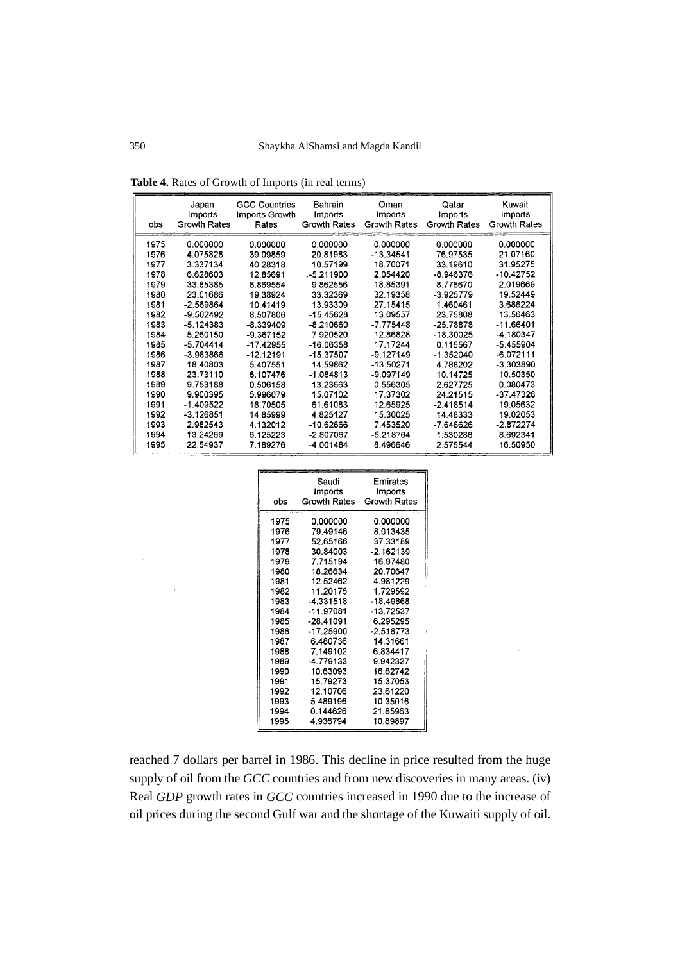| obs  | Japan        | <b>GCC Countries</b> | Bahrain        | Oman           | Qatar        | Kuwait       |
|------|--------------|----------------------|----------------|----------------|--------------|--------------|
|      | Imports      | Imports Growth       | <b>Imports</b> | <b>Imports</b> | Imports      | imports      |
|      | Growth Rates | Rates                | Growth Rates   | Growth Rates   | Growth Rates | Growth Rates |
| 1975 | 0.000000     | 0.000000             | 0.000000       | 0.000000       | 0.000000     | 0.000000     |
| 1976 | 4.075828     | 39.09859             | 20.81983       | $-13.34541$    | 76.97535     | 21.07160     |
| 1977 | 3.337134     | 40.28318             | 10.57199       | 18.70071       | 33.19610     | 31.95275     |
| 1978 | 6.628603     | 12.85691             | -5.211900      | 2.054420       | $-8.946376$  | -10.42752    |
| 1979 | 33.85385     | 8.869554             | 9.862556       | 18.85391       | 8.778670     | 2.019669     |
| 1980 | 23.01686     | 19.38924             | 33.32369       | 32.19358       | $-3.925779$  | 19.52449     |
| 1981 | $-2.569864$  | 10.41419             | 13.93309       | 27.15415       | 1.460461     | 3.686224     |
| 1982 | -9.502492    | 8.507806             | -15.45628      | 13.09557       | 23.75808     | 13.56463     |
| 1983 | $-5.124383$  | $-8.339409$          | -8.210660      | $-7.775448$    | $-25.78878$  | -11.66401    |
| 1984 | 5.260150     | -9.367152            | 7.920520       | 12.86828       | $-18.30025$  | -4.180347    |
| 1985 | $-5.704414$  | $-17.42955$          | $-16.06358$    | 17.17244       | 0.115567     | -5.455904    |
| 1986 | -3.983866    | $-12.12191$          | $-15.37507$    | -9.127149      | $-1.352040$  | $-6.072111$  |
| 1987 | 18.40803     | 5.407551             | 14.59862       | -13.50271      | 4.788202     | -3.303890    |
| 1988 | 23.73110     | 6.107476             | $-1.084813$    | -9.097149      | 10.14725     | 10.50350     |
| 1989 | 9.753188     | 0.506158             | 13.23663       | 0.556305       | 2.627725     | 0.080473     |
| 1990 | 9.900395     | 5.996079             | 15.07102       | 17.37302       | 24.21515     | -37.47328    |
| 1991 | -1.409522    | 18.70505             | 61.61083       | 12.65925       | $-2.418514$  | 19.05632     |
| 1992 | $-3.126851$  | 14.85999             | 4.825127       | 15,30025       | 14.48333     | 19.02053     |
| 1993 | 2.982543     | 4.132012             | -10.62666      | 7.453520       | $-7646626$   | $-2.872274$  |
| 1994 | 13.24269     | 6.125223             | -2.807067      | -5.218764      | 1.530286     | 8.692341     |
| 1995 | 22.54937     | 7.189276             | -4.001484      | 8.496646       | 2.575544     | 16.50950     |

**Table 4.** Rates of Growth of Imports (in real terms)

| obs  | Saudi<br>Imports<br>Growth Rates | Emirates<br>Imports<br>Growth Rates |
|------|----------------------------------|-------------------------------------|
| 1975 | 0.000000                         | 0.000000                            |
| 1976 | 79.49146                         | 8.013435                            |
| 1977 | 52.65166                         | 37.33189                            |
| 1978 | 30.84003                         | $-2.162139$                         |
| 1979 | 7.715194                         | 16.97480                            |
| 1980 | 18.26634                         | 20.70647                            |
| 1981 | 12.52462                         | 4.981229                            |
| 1982 | 11.20175                         | 1.729592                            |
| 1983 | -4.331518                        | $-18.49868$                         |
| 1984 | -11.97081                        | $-13.72537$                         |
| 1985 | -28.41091                        | 6.295295                            |
| 1986 | -17.25900                        | $-2.518773$                         |
| 1987 | 6.480736                         | 14.31661                            |
| 1988 | 7.149102                         | 6.834417                            |
| 1989 | -4.779133                        | 9.942327                            |
| 1990 | 10.63093                         | 16.62742                            |
| 1991 | 15.79273                         | 15.37053                            |
| 1992 | 12.10706                         | 23.61220                            |
| 1993 | 5.489196                         | 10.35016                            |
| 1994 | 0.144626                         | 21.85963                            |
| 1995 | 4.936794                         | 10.89897                            |

reached 7 dollars per barrel in 1986. This decline in price resulted from the huge supply of oil from the *GCC* countries and from new discoveries in many areas. (iv) Real *GDP* growth rates in *GCC* countries increased in 1990 due to the increase of oil prices during the second Gulf war and the shortage of the Kuwaiti supply of oil.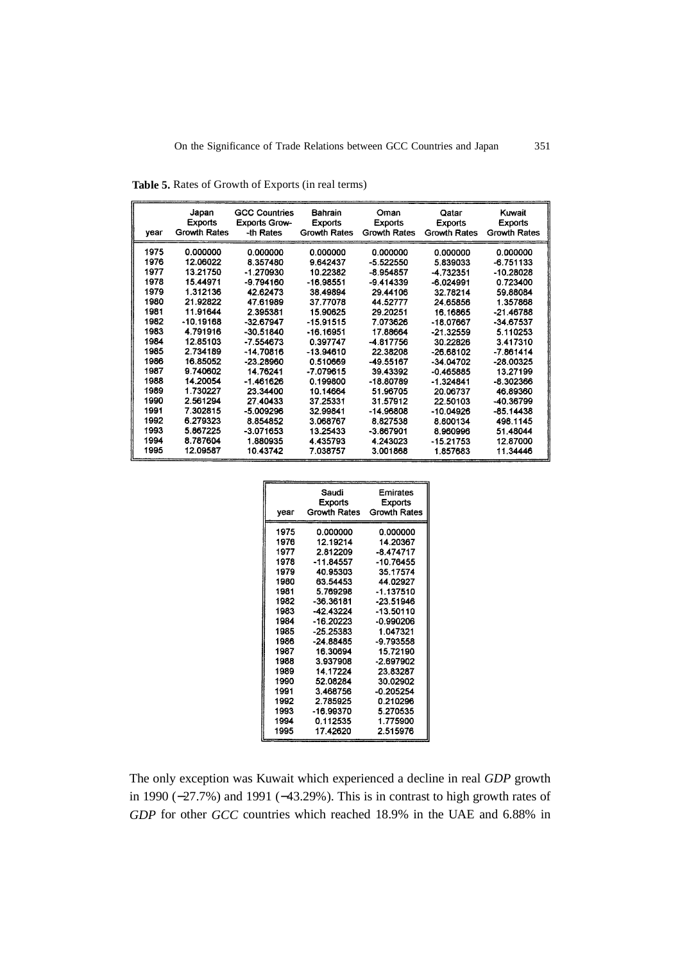|      | Japan          | <b>GCC Countries</b> | <b>Bahrain</b>      | Oman                | Qatar          | Kuwait              |
|------|----------------|----------------------|---------------------|---------------------|----------------|---------------------|
|      | <b>Exports</b> | <b>Exports Grow-</b> | <b>Exports</b>      | <b>Exports</b>      | <b>Exports</b> | Exports             |
| year | Growth Rates   | -th Rates            | <b>Growth Rates</b> | <b>Growth Rates</b> | Growth Rates   | <b>Growth Rates</b> |
| 1975 | 0.000000       | 0.000000             | 0.000000            | 0.000000            | 0.000000       | 0.000000            |
| 1976 | 12.06022       | 8.357480             | 9.642437            | $-5.522550$         | 5.839033       | $-6.751133$         |
| 1977 | 13.21750       | $-1.270930$          | 10.22382            | $-8.954857$         | -4.732351      | -10.28028           |
| 1978 | 15.44971       | $-9.794160$          | $-16.98551$         | -9.414339           | $-6.024991$    | 0.723400            |
| 1979 | 1.312136       | 42.62473             | 38.49894            | 29,44106            | 32.78214       | 59.88084            |
| 1980 | 21.92822       | 47.61989             | 37.77078            | 44.52777            | 24 65856       | 1.357868            |
| 1981 | 11.91644       | 2.395381             | 15.90625            | 29.20251            | 16.16865       | $-21.46788$         |
| 1982 | $-10.19168$    | $-32.67947$          | $-15.91515$         | 7.073626            | -18.07667      | $-34.67537$         |
| 1983 | 4.791916       | $-30.51840$          | -16.16951           | 17.88664            | $-21.32559$    | 5.110253            |
| 1984 | 12.85103       | $-7.554673$          | 0.397747            | -4.817756           | 30.22826       | 3.417310            |
| 1985 | 2.734189       | $-14.70816$          | $-13.94610$         | 22.38208            | $-26.68102$    | $-7.861414$         |
| 1986 | 16.85052       | $-23.28960$          | 0.510669            | -49.55167           | $-34.04702$    | $-28.00325$         |
| 1987 | 9.740602       | 14.76241             | $-7.079615$         | 39.43392            | $-0.465885$    | 13.27199            |
| 1988 | 14.20054       | $-1.461626$          | 0.199800            | -18.80789           | $-1.324841$    | -8.302366           |
| 1989 | 1.730227       | 23.34400             | 10.14664            | 51.96705            | 20.06737       | 46.89360            |
| 1990 | 2.561294       | 27.40433             | 37.25331            | 31.57912            | 22.50103       | -40.36799           |
| 1991 | 7.302815       | $-5.009296$          | 32.99841            | -14.96808           | $-10.04926$    | $-85.14438$         |
| 1992 | 6.279323       | 8.854852             | 3.068767            | 8.827538            | 8.800134       | 498.1145            |
| 1993 | 5.867225       | $-3.071653$          | 13.25433            | -3.867901           | 8.960996       | 51.48044            |
| 1994 | 8.787604       | 1.880935             | 4.435793            | 4.243023            | $-15.21753$    | 12.87000            |
| 1995 | 12.09587       | 10.43742             | 7.038757            | 3.001868            | 1.857683       | 11 34446            |

**Table 5.** Rates of Growth of Exports (in real terms)

| year | Saudi<br>Exports<br>Growth Rates | Emirates<br><b>Exports</b><br><b>Growth Rates</b> |
|------|----------------------------------|---------------------------------------------------|
| 1975 | 0.000000                         | 0.000000                                          |
| 1976 | 12.19214                         | 14.20367                                          |
| 1977 | 2.812209                         | $-8.474717$                                       |
| 1978 | $-11.84557$                      | -10.76455                                         |
| 1979 | 40.95303                         | 35.17574                                          |
| 1980 | 63.54453                         | 44.02927                                          |
| 1981 | 5.769298                         | $-1.137510$                                       |
| 1982 | $-36.36181$                      | $-23.51946$                                       |
| 1983 | $-42.43224$                      | $-13.50110$                                       |
| 1984 | -16.20223                        | $-0.990206$                                       |
| 1985 | $-25.25383$                      | 1.047321                                          |
| 1986 | -24.88485                        | -9.793558                                         |
| 1987 | 16.30694                         | 15.72190                                          |
| 1988 | 3.937908                         | $-2.697902$                                       |
| 1989 | 14.17224                         | 23.83287                                          |
| 1990 | 52.08284                         | 30.02902                                          |
| 1991 | 3.468756                         | $-0.205254$                                       |
| 1992 | 2.785925                         | 0.210296                                          |
| 1993 | -16.99370                        | 5.270535                                          |
| 1994 | 0.112535                         | 1.775900                                          |
| 1995 | 17.42620                         | 2.515976                                          |

The only exception was Kuwait which experienced a decline in real *GDP* growth in 1990 (−27.7%) and 1991 (−43.29%). This is in contrast to high growth rates of *GDP* for other *GCC* countries which reached 18.9% in the UAE and 6.88% in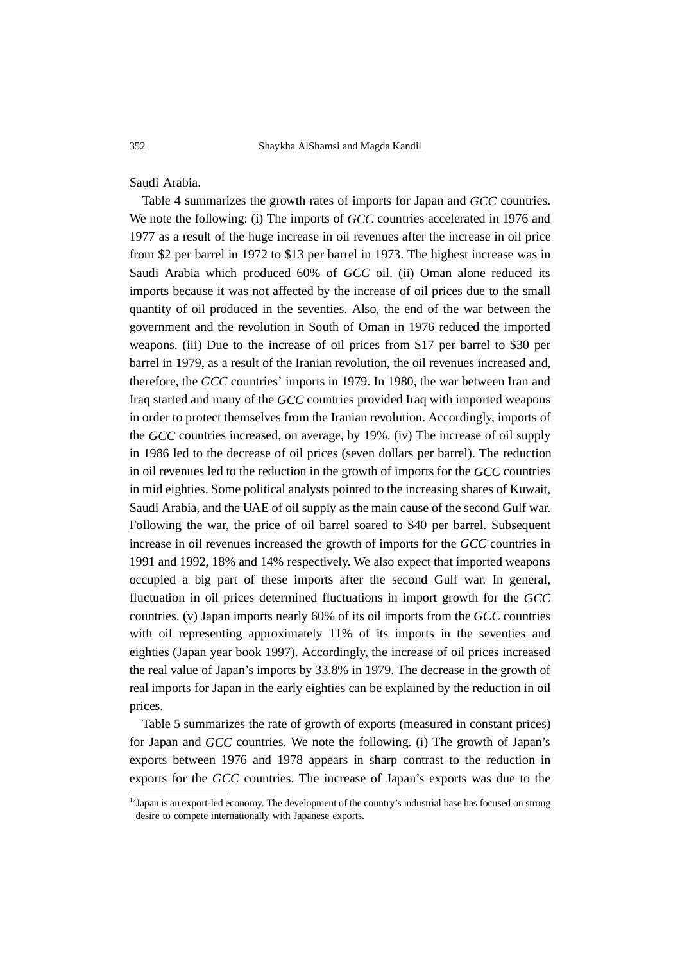Saudi Arabia.

Table 4 summarizes the growth rates of imports for Japan and *GCC* countries. We note the following: (i) The imports of *GCC* countries accelerated in 1976 and 1977 as a result of the huge increase in oil revenues after the increase in oil price from \$2 per barrel in 1972 to \$13 per barrel in 1973. The highest increase was in Saudi Arabia which produced 60% of *GCC* oil. (ii) Oman alone reduced its imports because it was not affected by the increase of oil prices due to the small quantity of oil produced in the seventies. Also, the end of the war between the government and the revolution in South of Oman in 1976 reduced the imported weapons. (iii) Due to the increase of oil prices from \$17 per barrel to \$30 per barrel in 1979, as a result of the Iranian revolution, the oil revenues increased and, therefore, the *GCC* countries' imports in 1979. In 1980, the war between Iran and Iraq started and many of the *GCC* countries provided Iraq with imported weapons in order to protect themselves from the Iranian revolution. Accordingly, imports of the *GCC* countries increased, on average, by 19%. (iv) The increase of oil supply in 1986 led to the decrease of oil prices (seven dollars per barrel). The reduction in oil revenues led to the reduction in the growth of imports for the *GCC* countries in mid eighties. Some political analysts pointed to the increasing shares of Kuwait, Saudi Arabia, and the UAE of oil supply as the main cause of the second Gulf war. Following the war, the price of oil barrel soared to \$40 per barrel. Subsequent increase in oil revenues increased the growth of imports for the *GCC* countries in 1991 and 1992, 18% and 14% respectively. We also expect that imported weapons occupied a big part of these imports after the second Gulf war. In general, fluctuation in oil prices determined fluctuations in import growth for the *GCC* countries. (v) Japan imports nearly 60% of its oil imports from the *GCC* countries with oil representing approximately 11% of its imports in the seventies and eighties (Japan year book 1997). Accordingly, the increase of oil prices increased the real value of Japan's imports by 33.8% in 1979. The decrease in the growth of real imports for Japan in the early eighties can be explained by the reduction in oil prices.

Table 5 summarizes the rate of growth of exports (measured in constant prices) for Japan and *GCC* countries. We note the following. (i) The growth of Japan's exports between 1976 and 1978 appears in sharp contrast to the reduction in exports for the *GCC* countries. The increase of Japan's exports was due to the

 $12$ Japan is an export-led economy. The development of the country's industrial base has focused on strong desire to compete internationally with Japanese exports.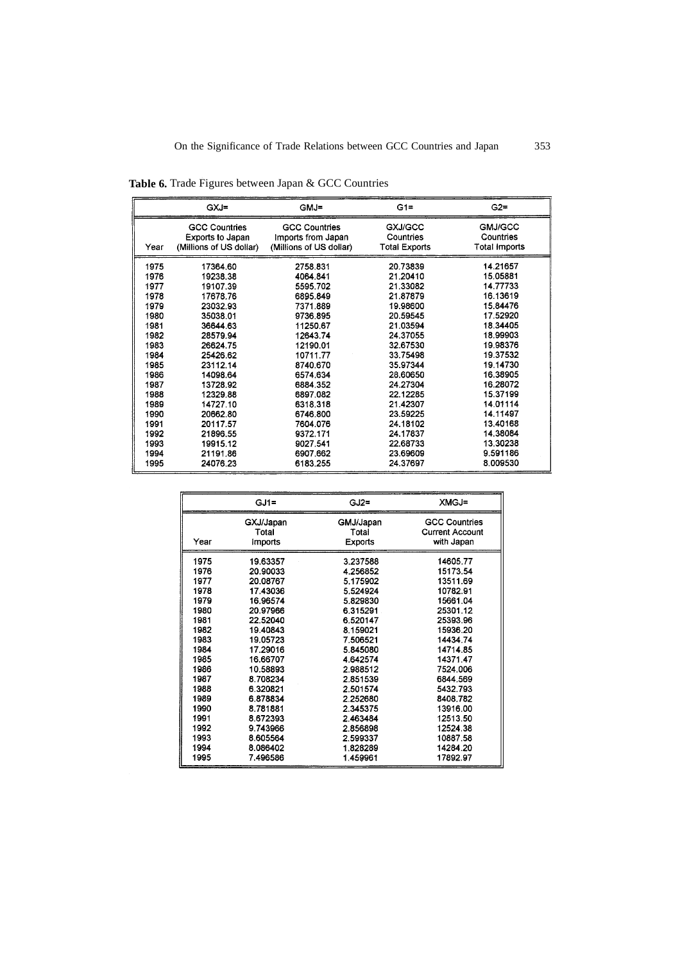|  | <b>Table 6.</b> Trade Figures between Japan & GCC Countries |  |
|--|-------------------------------------------------------------|--|
|--|-------------------------------------------------------------|--|

|      | GXJ=                    | $GMJ =$                 | $G1 =$               | $G2=$          |
|------|-------------------------|-------------------------|----------------------|----------------|
|      | <b>GCC Countries</b>    | <b>GCC Countries</b>    | GXJ/GCC              | <b>GMJ/GCC</b> |
|      | <b>Exports to Japan</b> | Imports from Japan      | Countries            | Countries      |
| Year | (Millions of US dollar) | (Millions of US dollar) | <b>Total Exports</b> | Total Imports  |
| 1975 | 17364.60                | 2758.831                | 20.73839             | 14.21657       |
| 1976 | 19238.38                | 4064.841                | 21.20410             | 15.05881       |
| 1977 | 19107.39                | 5595.702                | 21.33082             | 14.77733       |
| 1978 | 17678.76                | 6895.849                | 21.87879             | 16.13619       |
| 1979 | 23032.93                | 7371.889                | 19.98600             | 15.84476       |
| 1980 | 35038.01                | 9736.895                | 20.59545             | 17.52920       |
| 1981 | 36644.63                | 11250.67                | 21.03594             | 18.34405       |
| 1982 | 28579.94                | 12643.74                | 24.37055             | 18.99903       |
| 1983 | 26624.75                | 12190.01                | 32.67530             | 19.98376       |
| 1984 | 25426.62                | 10711.77                | 33.75498             | 19.37532       |
| 1985 | 23112.14                | 8740.670                | 35.97344             | 19.14730       |
| 1986 | 14098.64                | 6574.634                | 28.60650             | 16.38905       |
| 1987 | 13728.92                | 6884.352                | 24.27304             | 16.28072       |
| 1988 | 12329.88                | 6897.082                | 22.12285             | 15.37199       |
| 1989 | 14727.10                | 6318.318                | 21.42307             | 14.01114       |
| 1990 | 20662.80                | 6746.800                | 23.59225             | 14.11497       |
| 1991 | 20117.57                | 7604.076                | 24.18102             | 13.40168       |
| 1992 | 21896.55                | 9372.171                | 24.17837             | 14.38084       |
| 1993 | 19915.12                | 9027.541                | 22.68733             | 13.30238       |
| 1994 | 21191.86                | 6907.662                | 23.69609             | 9.591186       |
| 1995 | 24076.23                | 6183.255                | 24.37697             | 8.009530       |

|      | $GJ1=$         | $GJ2 =$        | XMGJ=                  |
|------|----------------|----------------|------------------------|
|      | GXJ/Japan      | GMJ/Japan      | <b>GCC Countries</b>   |
|      | Total          | Total          | <b>Current Account</b> |
| Year | <b>Imports</b> | <b>Exports</b> | with Japan             |
| 1975 | 19.63357       | 3.237588       | 14605.77               |
| 1976 | 20.90033       | 4.256852       | 15173.54               |
| 1977 | 20.08767       | 5.175902       | 13511.69               |
| 1978 | 17.43036       | 5.524924       | 10782.91               |
| 1979 | 16.96574       | 5.829830       | 15661.04               |
| 1980 | 20.97966       | 6.315291       | 25301.12               |
| 1981 | 22.52040       | 6.520147       | 25393.96               |
| 1982 | 19.40843       | 8.159021       | 15936.20               |
| 1983 | 19.05723       | 7.506521       | 14434.74               |
| 1984 | 17.29016       | 5.845080       | 14714.85               |
| 1985 | 16.66707       | 4.642574       | 14371.47               |
| 1986 | 10.58893       | 2.988512       | 7524.006               |
| 1987 | 8.708234       | 2.851539       | 6844.569               |
| 1988 | 6.320821       | 2.501574       | 5432.793               |
| 1989 | 6.878834       | 2.252680       | 8408.782               |
| 1990 | 8.781881       | 2.345375       | 13916.00               |
| 1991 | 8.672393       | 2.463484       | 12513.50               |
| 1992 | 9.743966       | 2.856898       | 12524.38               |
| 1993 | 8.605564       | 2.599337       | 10887.58               |
| 1994 | 8.086402       | 1.828289       | 14284.20               |
| 1995 | 7.496586       | 1.459961       | 17892.97               |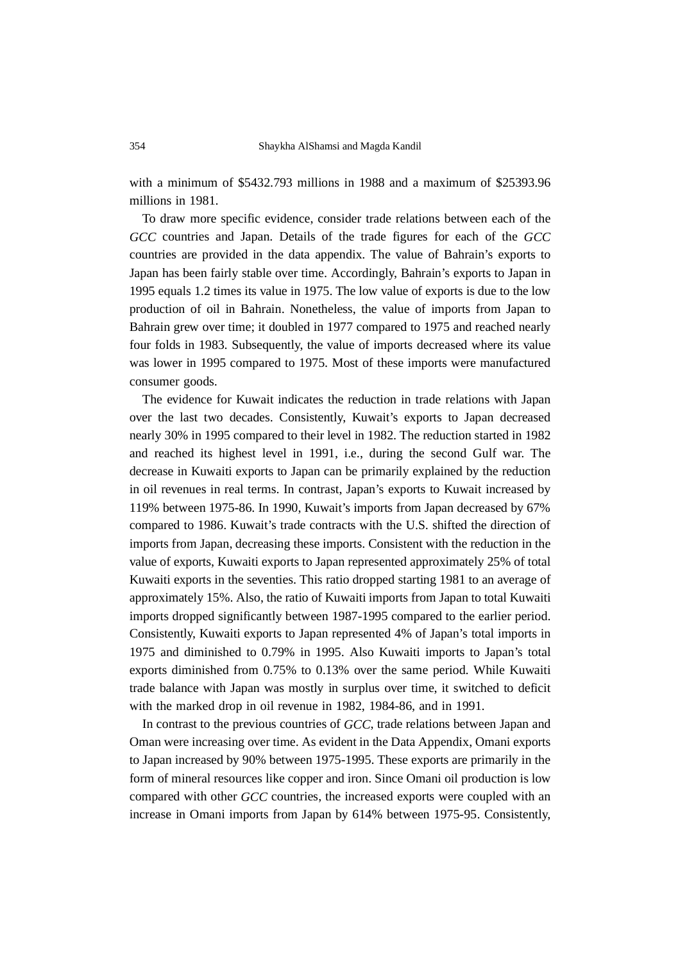with a minimum of \$5432.793 millions in 1988 and a maximum of \$25393.96 millions in 1981.

To draw more specific evidence, consider trade relations between each of the *GCC* countries and Japan. Details of the trade figures for each of the *GCC* countries are provided in the data appendix. The value of Bahrain's exports to Japan has been fairly stable over time. Accordingly, Bahrain's exports to Japan in 1995 equals 1.2 times its value in 1975. The low value of exports is due to the low production of oil in Bahrain. Nonetheless, the value of imports from Japan to Bahrain grew over time; it doubled in 1977 compared to 1975 and reached nearly four folds in 1983. Subsequently, the value of imports decreased where its value was lower in 1995 compared to 1975. Most of these imports were manufactured consumer goods.

The evidence for Kuwait indicates the reduction in trade relations with Japan over the last two decades. Consistently, Kuwait's exports to Japan decreased nearly 30% in 1995 compared to their level in 1982. The reduction started in 1982 and reached its highest level in 1991, i.e., during the second Gulf war. The decrease in Kuwaiti exports to Japan can be primarily explained by the reduction in oil revenues in real terms. In contrast, Japan's exports to Kuwait increased by 119% between 1975-86. In 1990, Kuwait's imports from Japan decreased by 67% compared to 1986. Kuwait's trade contracts with the U.S. shifted the direction of imports from Japan, decreasing these imports. Consistent with the reduction in the value of exports, Kuwaiti exports to Japan represented approximately 25% of total Kuwaiti exports in the seventies. This ratio dropped starting 1981 to an average of approximately 15%. Also, the ratio of Kuwaiti imports from Japan to total Kuwaiti imports dropped significantly between 1987-1995 compared to the earlier period. Consistently, Kuwaiti exports to Japan represented 4% of Japan's total imports in 1975 and diminished to 0.79% in 1995. Also Kuwaiti imports to Japan's total exports diminished from 0.75% to 0.13% over the same period. While Kuwaiti trade balance with Japan was mostly in surplus over time, it switched to deficit with the marked drop in oil revenue in 1982, 1984-86, and in 1991.

In contrast to the previous countries of *GCC*, trade relations between Japan and Oman were increasing over time. As evident in the Data Appendix, Omani exports to Japan increased by 90% between 1975-1995. These exports are primarily in the form of mineral resources like copper and iron. Since Omani oil production is low compared with other *GCC* countries, the increased exports were coupled with an increase in Omani imports from Japan by 614% between 1975-95. Consistently,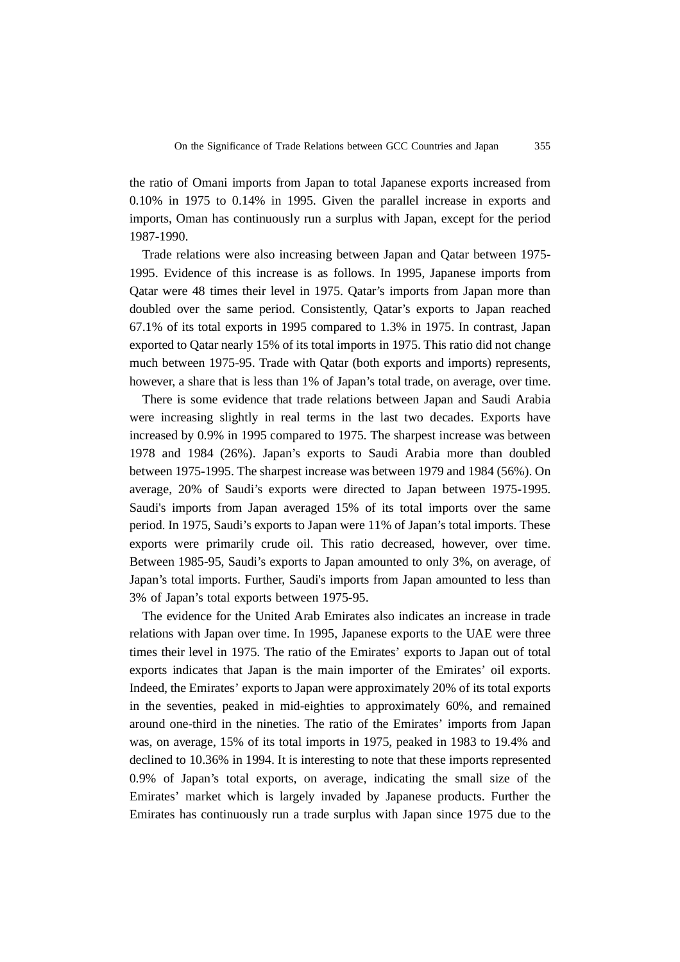the ratio of Omani imports from Japan to total Japanese exports increased from 0.10% in 1975 to 0.14% in 1995. Given the parallel increase in exports and imports, Oman has continuously run a surplus with Japan, except for the period 1987-1990.

Trade relations were also increasing between Japan and Qatar between 1975- 1995. Evidence of this increase is as follows. In 1995, Japanese imports from Qatar were 48 times their level in 1975. Qatar's imports from Japan more than doubled over the same period. Consistently, Qatar's exports to Japan reached 67.1% of its total exports in 1995 compared to 1.3% in 1975. In contrast, Japan exported to Qatar nearly 15% of its total imports in 1975. This ratio did not change much between 1975-95. Trade with Qatar (both exports and imports) represents, however, a share that is less than 1% of Japan's total trade, on average, over time.

There is some evidence that trade relations between Japan and Saudi Arabia were increasing slightly in real terms in the last two decades. Exports have increased by 0.9% in 1995 compared to 1975. The sharpest increase was between 1978 and 1984 (26%). Japan's exports to Saudi Arabia more than doubled between 1975-1995. The sharpest increase was between 1979 and 1984 (56%). On average, 20% of Saudi's exports were directed to Japan between 1975-1995. Saudi's imports from Japan averaged 15% of its total imports over the same period. In 1975, Saudi's exports to Japan were 11% of Japan's total imports. These exports were primarily crude oil. This ratio decreased, however, over time. Between 1985-95, Saudi's exports to Japan amounted to only 3%, on average, of Japan's total imports. Further, Saudi's imports from Japan amounted to less than 3% of Japan's total exports between 1975-95.

The evidence for the United Arab Emirates also indicates an increase in trade relations with Japan over time. In 1995, Japanese exports to the UAE were three times their level in 1975. The ratio of the Emirates' exports to Japan out of total exports indicates that Japan is the main importer of the Emirates' oil exports. Indeed, the Emirates' exports to Japan were approximately 20% of its total exports in the seventies, peaked in mid-eighties to approximately 60%, and remained around one-third in the nineties. The ratio of the Emirates' imports from Japan was, on average, 15% of its total imports in 1975, peaked in 1983 to 19.4% and declined to 10.36% in 1994. It is interesting to note that these imports represented 0.9% of Japan's total exports, on average, indicating the small size of the Emirates' market which is largely invaded by Japanese products. Further the Emirates has continuously run a trade surplus with Japan since 1975 due to the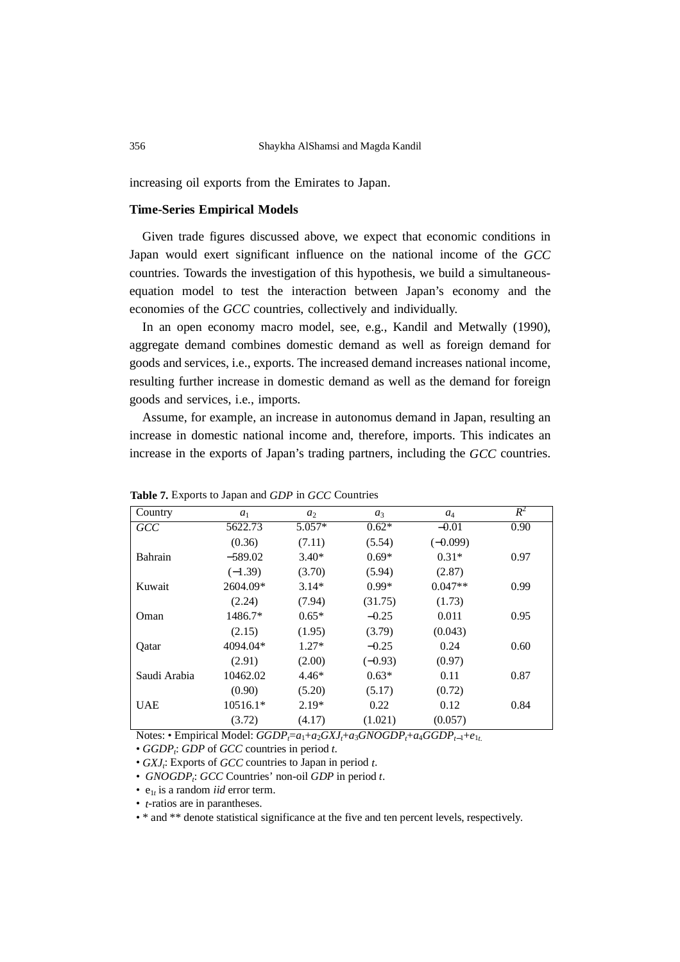increasing oil exports from the Emirates to Japan.

#### **Time-Series Empirical Models**

Given trade figures discussed above, we expect that economic conditions in Japan would exert significant influence on the national income of the *GCC* countries. Towards the investigation of this hypothesis, we build a simultaneousequation model to test the interaction between Japan's economy and the economies of the *GCC* countries, collectively and individually.

In an open economy macro model, see, e.g., Kandil and Metwally (1990), aggregate demand combines domestic demand as well as foreign demand for goods and services, i.e., exports. The increased demand increases national income, resulting further increase in domestic demand as well as the demand for foreign goods and services, i.e., imports.

Assume, for example, an increase in autonomus demand in Japan, resulting an increase in domestic national income and, therefore, imports. This indicates an increase in the exports of Japan's trading partners, including the *GCC* countries.

| л.           |            |                |           |            |       |
|--------------|------------|----------------|-----------|------------|-------|
| Country      | $a_1$      | a <sub>2</sub> | $a_3$     | $a_4$      | $R^2$ |
| <b>GCC</b>   | 5622.73    | $5.057*$       | $0.62*$   | $-0.01$    | 0.90  |
|              | (0.36)     | (7.11)         | (5.54)    | $(-0.099)$ |       |
| Bahrain      | $-589.02$  | $3.40*$        | $0.69*$   | $0.31*$    | 0.97  |
|              | $(-1.39)$  | (3.70)         | (5.94)    | (2.87)     |       |
| Kuwait       | 2604.09*   | $3.14*$        | $0.99*$   | $0.047**$  | 0.99  |
|              | (2.24)     | (7.94)         | (31.75)   | (1.73)     |       |
| Oman         | 1486.7*    | $0.65*$        | $-0.25$   | 0.011      | 0.95  |
|              | (2.15)     | (1.95)         | (3.79)    | (0.043)    |       |
| Qatar        | 4094.04*   | $1.27*$        | $-0.25$   | 0.24       | 0.60  |
|              | (2.91)     | (2.00)         | $(-0.93)$ | (0.97)     |       |
| Saudi Arabia | 10462.02   | $4.46*$        | $0.63*$   | 0.11       | 0.87  |
|              | (0.90)     | (5.20)         | (5.17)    | (0.72)     |       |
| <b>UAE</b>   | $10516.1*$ | $2.19*$        | 0.22      | 0.12       | 0.84  |
|              | (3.72)     | (4.17)         | (1.021)   | (0.057)    |       |
|              |            |                |           |            |       |

**Table 7.** Exports to Japan and *GDP* in *GCC* Countries

Notes: • Empirical Model: *GGDP*<sub>*τ*</sub>= $a_1$ + $a_2$ *GXJ*<sub>*t*</sub>+ $a_3$ *GNOGDP*<sub>*t*</sub>+ $a_4$ *GGDP*<sub>*t*−1</sub>+ $e_{1t}$ .

• *GGDP*<sub>i</sub>: *GDP* of *GCC* countries in period *t*.

- *GXJ*<sub>i</sub>: Exports of *GCC* countries to Japan in period t.
- *GNOGDP<sub>i</sub>*: *GCC* Countries' non-oil *GDP* in period *t*.
- $e_{1t}$  is a random *iid* error term.
- *t*-ratios are in parantheses.

• \* and \*\* denote statistical significance at the five and ten percent levels, respectively.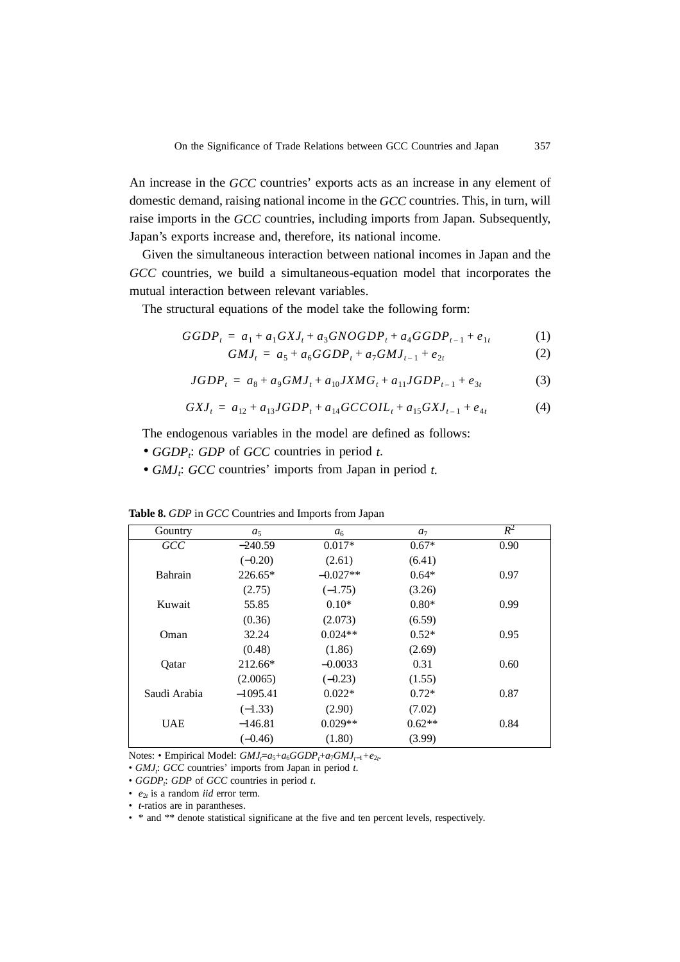An increase in the *GCC* countries' exports acts as an increase in any element of domestic demand, raising national income in the *GCC* countries. This, in turn, will raise imports in the *GCC* countries, including imports from Japan. Subsequently, Japan's exports increase and, therefore, its national income.

Given the simultaneous interaction between national incomes in Japan and the *GCC* countries, we build a simultaneous-equation model that incorporates the mutual interaction between relevant variables.

The structural equations of the model take the following form:

$$
GGDP_t = a_1 + a_1 GXJ_t + a_3GNOGDP_t + a_4GGDP_{t-1} + e_{1t}
$$
 (1)

$$
GMJ_t = a_5 + a_6GGDP_t + a_7GMJ_{t-1} + e_{2t}
$$
 (2)

$$
JGDP_t = a_8 + a_9 GMI_t + a_{10} JXMG_t + a_{11} JGDP_{t-1} + e_{3t}
$$
 (3)

$$
GXJ_t = a_{12} + a_{13}JGDP_t + a_{14}GCCOIL_t + a_{15}GXJ_{t-1} + e_{4t}
$$
 (4)

The endogenous variables in the model are defined as follows:

- *GGDPt* : *GDP* of *GCC* countries in period *t*.
- *GMJ*<sub>i</sub>: *GCC* countries' imports from Japan in period *t*.

| Gountry      | $a_5$      | a <sub>6</sub> | a <sub>7</sub> | $R^2$ |
|--------------|------------|----------------|----------------|-------|
| GCC          | $-240.59$  | $0.017*$       | $0.67*$        | 0.90  |
|              | $(-0.20)$  | (2.61)         | (6.41)         |       |
| Bahrain      | $226.65*$  | $-0.027**$     | $0.64*$        | 0.97  |
|              | (2.75)     | $(-1.75)$      | (3.26)         |       |
| Kuwait       | 55.85      | $0.10*$        | $0.80*$        | 0.99  |
|              | (0.36)     | (2.073)        | (6.59)         |       |
| Oman         | 32.24      | $0.024**$      | $0.52*$        | 0.95  |
|              | (0.48)     | (1.86)         | (2.69)         |       |
| Qatar        | 212.66*    | $-0.0033$      | 0.31           | 0.60  |
|              | (2.0065)   | $(-0.23)$      | (1.55)         |       |
| Saudi Arabia | $-1095.41$ | $0.022*$       | $0.72*$        | 0.87  |
|              | $(-1.33)$  | (2.90)         | (7.02)         |       |
| <b>UAE</b>   | $-146.81$  | $0.029**$      | $0.62**$       | 0.84  |
|              | $(-0.46)$  | (1.80)         | (3.99)         |       |

**Table 8.** *GDP* in *GCC* Countries and Imports from Japan

Notes: • Empirical Model:  $GMJ<sub>i</sub>=a<sub>5</sub>+a<sub>6</sub>GGDP<sub>i</sub>+a<sub>7</sub>GMJ<sub>t-1</sub>+e<sub>2t</sub>$ 

• *GMJ*<sub>*i*</sub>: *GCC* countries' imports from Japan in period *t*.

- *GGDP*<sub>i</sub>: *GDP* of *GCC* countries in period *t*.
- *e*<sup>2</sup>*<sup>t</sup>* is a random *iid* error term.
- *t*-ratios are in parantheses.

• \* and \*\* denote statistical significane at the five and ten percent levels, respectively.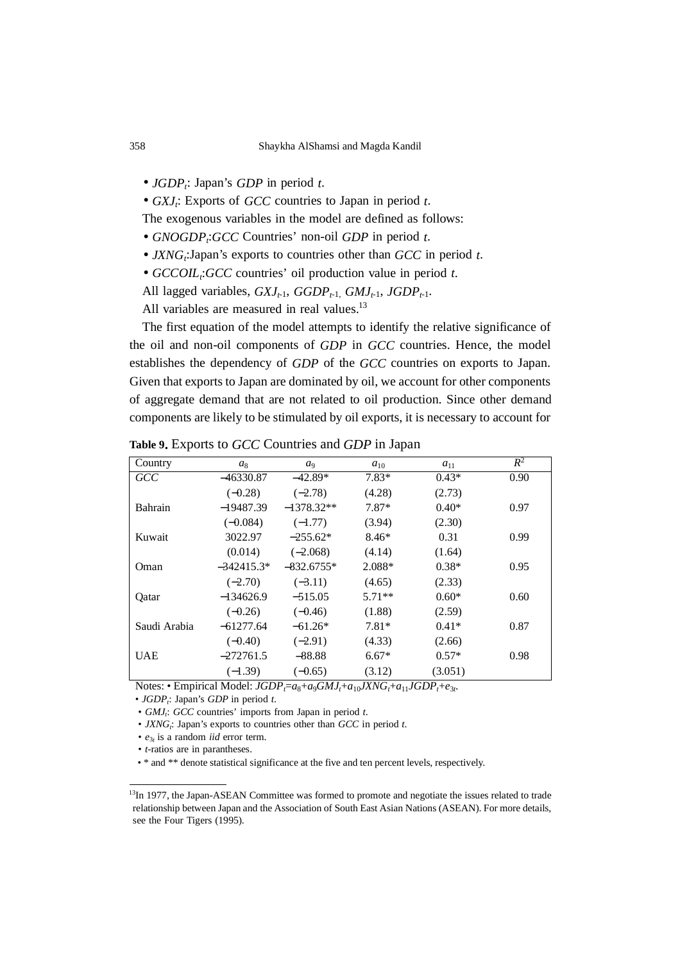• *JGDP*<sup>*<sub>i</sub>*: Japan's *GDP* in period *t*.</sup>

• *GXJ*<sub>i</sub>: Exports of *GCC* countries to Japan in period *t*.

The exogenous variables in the model are defined as follows:

- *GNOGDP*<sup>*;*:GCC</sup> Countries' non-oil *GDP* in period *t*.
- *JXNG*<sub>t</sub>: Japan's exports to countries other than *GCC* in period *t*.
- *GCCOILt* :*GCC* countries' oil production value in period *t*.
- All lagged variables,  $GXJ_{t-1}$ ,  $GGDP_{t-1}$ ,  $GMI_{t-1}$ ,  $JGDP_{t-1}$ .

All variables are measured in real values.<sup>13</sup>

The first equation of the model attempts to identify the relative significance of the oil and non-oil components of *GDP* in *GCC* countries. Hence, the model establishes the dependency of *GDP* of the *GCC* countries on exports to Japan. Given that exports to Japan are dominated by oil, we account for other components of aggregate demand that are not related to oil production. Since other demand components are likely to be stimulated by oil exports, it is necessary to account for

| Country      | $a_8$        | a <sub>9</sub> | $a_{10}$ | $a_{11}$ | $R^2$ |
|--------------|--------------|----------------|----------|----------|-------|
| <b>GCC</b>   | $-46330.87$  | $-42.89*$      | $7.83*$  | $0.43*$  | 0.90  |
|              | $(-0.28)$    | $(-2.78)$      | (4.28)   | (2.73)   |       |
| Bahrain      | $-19487.39$  | $-1378.32**$   | $7.87*$  | $0.40*$  | 0.97  |
|              | $(-0.084)$   | $(-1.77)$      | (3.94)   | (2.30)   |       |
| Kuwait       | 3022.97      | $-255.62*$     | $8.46*$  | 0.31     | 0.99  |
|              | (0.014)      | $(-2.068)$     | (4.14)   | (1.64)   |       |
| Oman         | $-342415.3*$ | $-832.6755*$   | 2.088*   | $0.38*$  | 0.95  |
|              | $(-2.70)$    | $(-3.11)$      | (4.65)   | (2.33)   |       |
| Oatar        | $-134626.9$  | $-515.05$      | $5.71**$ | $0.60*$  | 0.60  |
|              | $(-0.26)$    | $(-0.46)$      | (1.88)   | (2.59)   |       |
| Saudi Arabia | $-61277.64$  | $-61.26*$      | $7.81*$  | $0.41*$  | 0.87  |
|              | $(-0.40)$    | $(-2.91)$      | (4.33)   | (2.66)   |       |
| <b>UAE</b>   | $-272761.5$  | $-88.88$       | $6.67*$  | $0.57*$  | 0.98  |
|              | $(-1.39)$    | $(-0.65)$      | (3.12)   | (3.051)  |       |

**Table 9.** Exports to *GCC* Countries and *GDP* in Japan

Notes: • Empirical Model:  $JGDP_f = a_8 + a_9 GMI_f + a_{10} JXNG_f + a_{11} JGDP_f + e_{3f}$ 

• *JGDP*<sub>i</sub>: Japan's *GDP* in period *t*.

- *GMJ<sub>i</sub>*: *GCC* countries' imports from Japan in period *t*.
- *JXNG*<sub>*i*</sub>: Japan's exports to countries other than *GCC* in period *t*.
- *e*<sup>3</sup>*<sup>t</sup>* is a random *iid* error term.
- *t*-ratios are in parantheses.
- \* and \*\* denote statistical significance at the five and ten percent levels, respectively.

<sup>&</sup>lt;sup>13</sup>In 1977, the Japan-ASEAN Committee was formed to promote and negotiate the issues related to trade relationship between Japan and the Association of South East Asian Nations (ASEAN). For more details, see the Four Tigers (1995).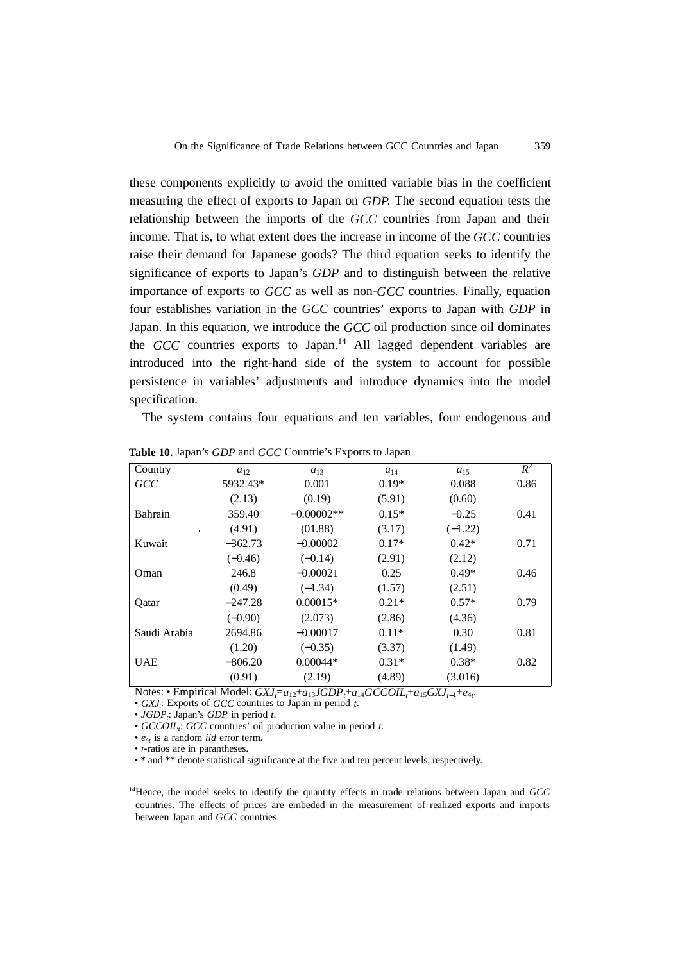these components explicitly to avoid the omitted variable bias in the coefficient measuring the effect of exports to Japan on *GDP*. The second equation tests the relationship between the imports of the *GCC* countries from Japan and their income. That is, to what extent does the increase in income of the *GCC* countries raise their demand for Japanese goods? The third equation seeks to identify the significance of exports to Japan's *GDP* and to distinguish between the relative importance of exports to *GCC* as well as non-*GCC* countries. Finally, equation four establishes variation in the *GCC* countries' exports to Japan with *GDP* in Japan. In this equation, we introduce the *GCC* oil production since oil dominates the *GCC* countries exports to Japan.<sup>14</sup> All lagged dependent variables are introduced into the right-hand side of the system to account for possible persistence in variables' adjustments and introduce dynamics into the model specification.

The system contains four equations and ten variables, four endogenous and

| Country        | $a_{12}$  | $a_{13}$     | $a_{14}$ | $a_{15}$  | $R^2$ |
|----------------|-----------|--------------|----------|-----------|-------|
| GCC            | 5932.43*  | 0.001        | $0.19*$  | 0.088     | 0.86  |
|                | (2.13)    | (0.19)       | (5.91)   | (0.60)    |       |
| Bahrain        | 359.40    | $-0.00002**$ | $0.15*$  | $-0.25$   | 0.41  |
| $\blacksquare$ | (4.91)    | (01.88)      | (3.17)   | $(-1.22)$ |       |
| Kuwait         | $-362.73$ | $-0.00002$   | $0.17*$  | $0.42*$   | 0.71  |
|                | $(-0.46)$ | $(-0.14)$    | (2.91)   | (2.12)    |       |
| Oman           | 246.8     | $-0.00021$   | 0.25     | $0.49*$   | 0.46  |
|                | (0.49)    | $(-1.34)$    | (1.57)   | (2.51)    |       |
| Qatar          | $-247.28$ | $0.00015*$   | $0.21*$  | $0.57*$   | 0.79  |
|                | $(-0.90)$ | (2.073)      | (2.86)   | (4.36)    |       |
| Saudi Arabia   | 2694.86   | $-0.00017$   | $0.11*$  | 0.30      | 0.81  |
|                | (1.20)    | $(-0.35)$    | (3.37)   | (1.49)    |       |
| <b>UAE</b>     | $-806.20$ | $0.00044*$   | $0.31*$  | $0.38*$   | 0.82  |
|                | (0.91)    | (2.19)       | (4.89)   | (3.016)   |       |

**Table 10.** Japan's *GDP* and *GCC* Countrie's Exports to Japan

Notes: • Empirical Model:  $GXJ_t = a_{12} + a_{13}JGDP_t + a_{14}GCCOIL_t + a_{15}GXJ_{t-1} + e_{4t}$ 

• *GXJ<sub>i</sub>*: Exports of *GCC* countries to Japan in period *t*.

• *JGDP*<sub>i</sub>: Japan's *GDP* in period *t*.

• *GCCOILt* : *GCC* countries' oil production value in period *t*.

• *e*<sup>4</sup>*t* is a random *iid* error term.

• *t*-ratios are in parantheses.

• \* and \*\* denote statistical significance at the five and ten percent levels, respectively.

<sup>14</sup>Hence, the model seeks to identify the quantity effects in trade relations between Japan and *GCC* countries. The effects of prices are embeded in the measurement of realized exports and imports between Japan and *GCC* countries.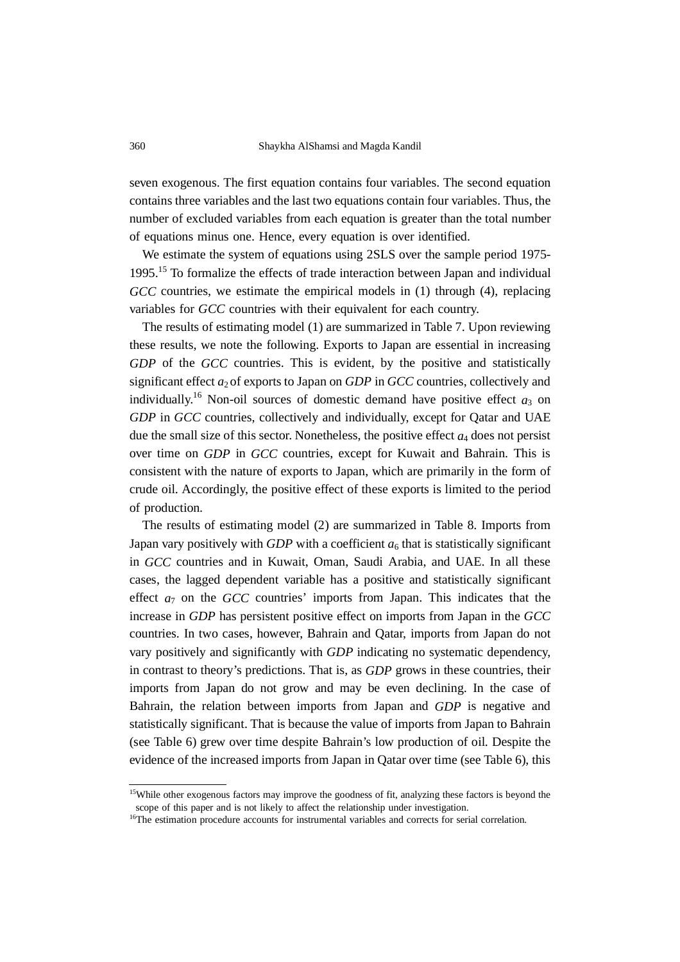seven exogenous. The first equation contains four variables. The second equation contains three variables and the last two equations contain four variables. Thus, the number of excluded variables from each equation is greater than the total number of equations minus one. Hence, every equation is over identified.

We estimate the system of equations using 2SLS over the sample period 1975-1995.15 To formalize the effects of trade interaction between Japan and individual *GCC* countries, we estimate the empirical models in (1) through (4), replacing variables for *GCC* countries with their equivalent for each country.

The results of estimating model (1) are summarized in Table 7. Upon reviewing these results, we note the following. Exports to Japan are essential in increasing *GDP* of the *GCC* countries. This is evident, by the positive and statistically significant effect  $a_2$  of exports to Japan on *GDP* in *GCC* countries, collectively and individually.<sup>16</sup> Non-oil sources of domestic demand have positive effect  $a_3$  on *GDP* in *GCC* countries, collectively and individually, except for Qatar and UAE due the small size of this sector. Nonetheless, the positive effect *a*4 does not persist over time on *GDP* in *GCC* countries, except for Kuwait and Bahrain. This is consistent with the nature of exports to Japan, which are primarily in the form of crude oil. Accordingly, the positive effect of these exports is limited to the period of production.

The results of estimating model (2) are summarized in Table 8. Imports from Japan vary positively with *GDP* with a coefficient  $a<sub>6</sub>$  that is statistically significant in *GCC* countries and in Kuwait, Oman, Saudi Arabia, and UAE. In all these cases, the lagged dependent variable has a positive and statistically significant effect  $a_7$  on the *GCC* countries' imports from Japan. This indicates that the increase in *GDP* has persistent positive effect on imports from Japan in the *GCC* countries. In two cases, however, Bahrain and Qatar, imports from Japan do not vary positively and significantly with *GDP* indicating no systematic dependency, in contrast to theory's predictions. That is, as *GDP* grows in these countries, their imports from Japan do not grow and may be even declining. In the case of Bahrain, the relation between imports from Japan and *GDP* is negative and statistically significant. That is because the value of imports from Japan to Bahrain (see Table 6) grew over time despite Bahrain's low production of oil. Despite the evidence of the increased imports from Japan in Qatar over time (see Table 6), this

<sup>&</sup>lt;sup>15</sup>While other exogenous factors may improve the goodness of fit, analyzing these factors is beyond the scope of this paper and is not likely to affect the relationship under investigation.

<sup>&</sup>lt;sup>16</sup>The estimation procedure accounts for instrumental variables and corrects for serial correlation.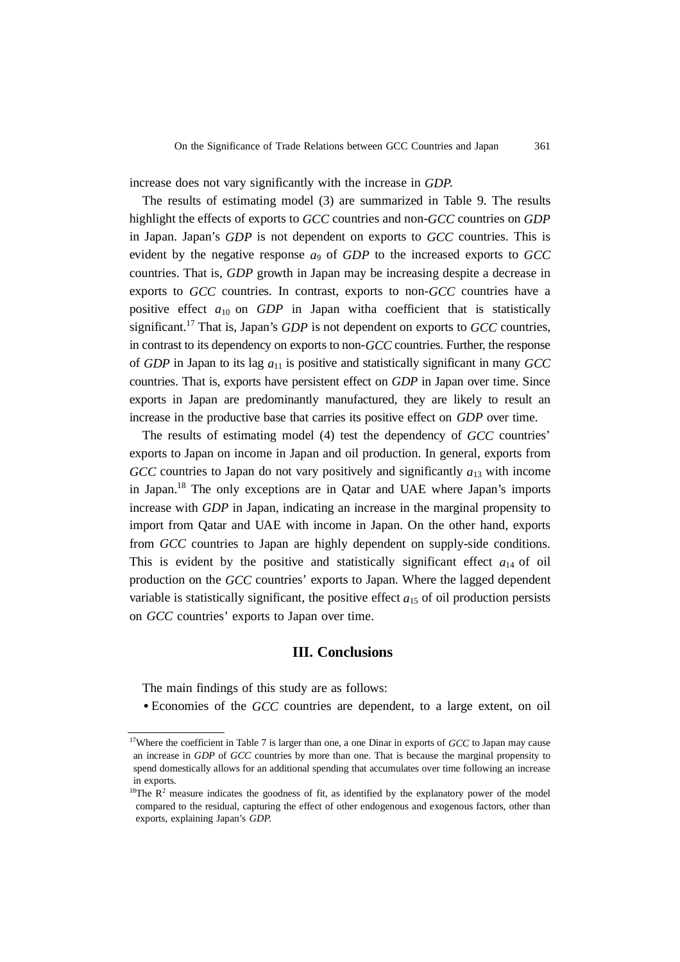increase does not vary significantly with the increase in *GDP*.

The results of estimating model (3) are summarized in Table 9. The results highlight the effects of exports to *GCC* countries and non-*GCC* countries on *GDP* in Japan. Japan's *GDP* is not dependent on exports to *GCC* countries. This is evident by the negative response *a*9 of *GDP* to the increased exports to *GCC* countries. That is, *GDP* growth in Japan may be increasing despite a decrease in exports to *GCC* countries. In contrast, exports to non-*GCC* countries have a positive effect  $a_{10}$  on  $GDP$  in Japan witha coefficient that is statistically significant.17 That is, Japan's *GDP* is not dependent on exports to *GCC* countries, in contrast to its dependency on exports to non-*GCC* countries. Further, the response of *GDP* in Japan to its lag *a*11 is positive and statistically significant in many *GCC* countries. That is, exports have persistent effect on *GDP* in Japan over time. Since exports in Japan are predominantly manufactured, they are likely to result an increase in the productive base that carries its positive effect on *GDP* over time.

The results of estimating model (4) test the dependency of *GCC* countries' exports to Japan on income in Japan and oil production. In general, exports from *GCC* countries to Japan do not vary positively and significantly  $a_{13}$  with income in Japan.<sup>18</sup> The only exceptions are in Oatar and UAE where Japan's imports increase with *GDP* in Japan, indicating an increase in the marginal propensity to import from Qatar and UAE with income in Japan. On the other hand, exports from *GCC* countries to Japan are highly dependent on supply-side conditions. This is evident by the positive and statistically significant effect  $a_{14}$  of oil production on the *GCC* countries' exports to Japan. Where the lagged dependent variable is statistically significant, the positive effect  $a_{15}$  of oil production persists on *GCC* countries' exports to Japan over time.

# **III. Conclusions**

The main findings of this study are as follows:

• Economies of the *GCC* countries are dependent, to a large extent, on oil

<sup>&</sup>lt;sup>17</sup>Where the coefficient in Table 7 is larger than one, a one Dinar in exports of *GCC* to Japan may cause an increase in *GDP* of *GCC* countries by more than one. That is because the marginal propensity to spend domestically allows for an additional spending that accumulates over time following an increase in exports.

 $18$ The R<sup>2</sup> measure indicates the goodness of fit, as identified by the explanatory power of the model compared to the residual, capturing the effect of other endogenous and exogenous factors, other than exports, explaining Japan's *GDP*.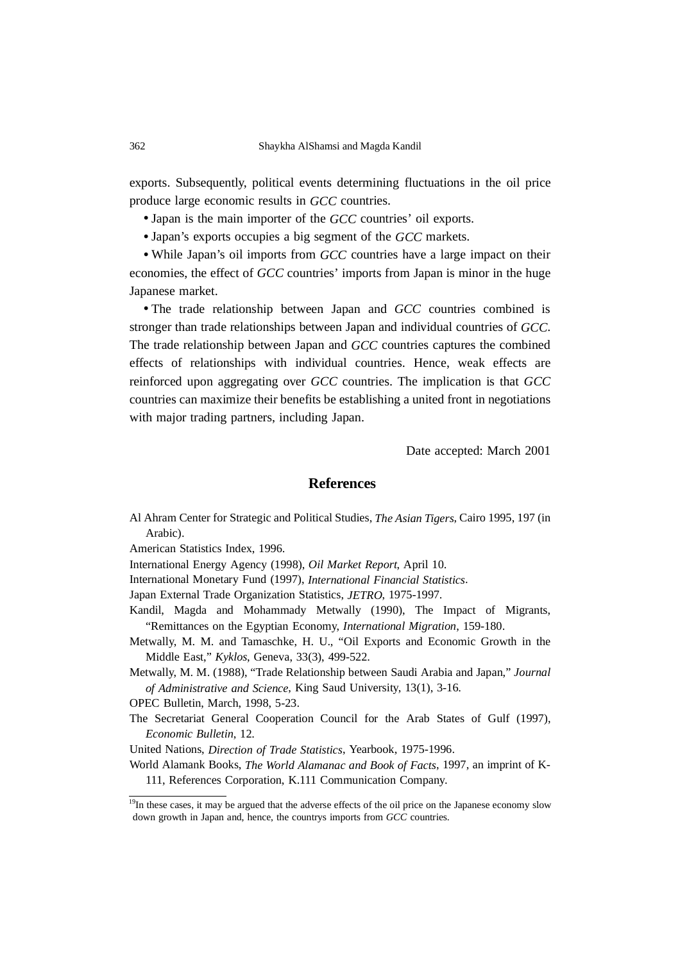exports. Subsequently, political events determining fluctuations in the oil price produce large economic results in *GCC* countries.

- Japan is the main importer of the *GCC* countries' oil exports.
- Japan's exports occupies a big segment of the *GCC* markets.

• While Japan's oil imports from *GCC* countries have a large impact on their economies, the effect of *GCC* countries' imports from Japan is minor in the huge Japanese market.

• The trade relationship between Japan and *GCC* countries combined is stronger than trade relationships between Japan and individual countries of *GCC*. The trade relationship between Japan and *GCC* countries captures the combined effects of relationships with individual countries. Hence, weak effects are reinforced upon aggregating over *GCC* countries. The implication is that *GCC* countries can maximize their benefits be establishing a united front in negotiations with major trading partners, including Japan.

Date accepted: March 2001

### **References**

Al Ahram Center for Strategic and Political Studies, *The Asian Tigers*, Cairo 1995, 197 (in Arabic).

American Statistics Index, 1996.

International Energy Agency (1998), *Oil Market Report*, April 10.

International Monetary Fund (1997), *International Financial Statistics*.

Japan External Trade Organization Statistics, *JETRO*, 1975-1997.

- Kandil, Magda and Mohammady Metwally (1990), The Impact of Migrants, "Remittances on the Egyptian Economy, *International Migration*, 159-180.
- Metwally, M. M. and Tamaschke, H. U., "Oil Exports and Economic Growth in the Middle East," *Kyklos*, Geneva, 33(3), 499-522.

Metwally, M. M. (1988), "Trade Relationship between Saudi Arabia and Japan," *Journal of Administrative and Science*, King Saud University, 13(1), 3-16.

OPEC Bulletin, March, 1998, 5-23.

The Secretariat General Cooperation Council for the Arab States of Gulf (1997), *Economic Bulletin*, 12.

United Nations, *Direction of Trade Statistics*, Yearbook, 1975-1996.

World Alamank Books, *The World Alamanac and Book of Facts*, 1997, an imprint of K-111, References Corporation, K.111 Communication Company.

<sup>&</sup>lt;sup>19</sup>In these cases, it may be argued that the adverse effects of the oil price on the Japanese economy slow down growth in Japan and, hence, the countrys imports from *GCC* countries.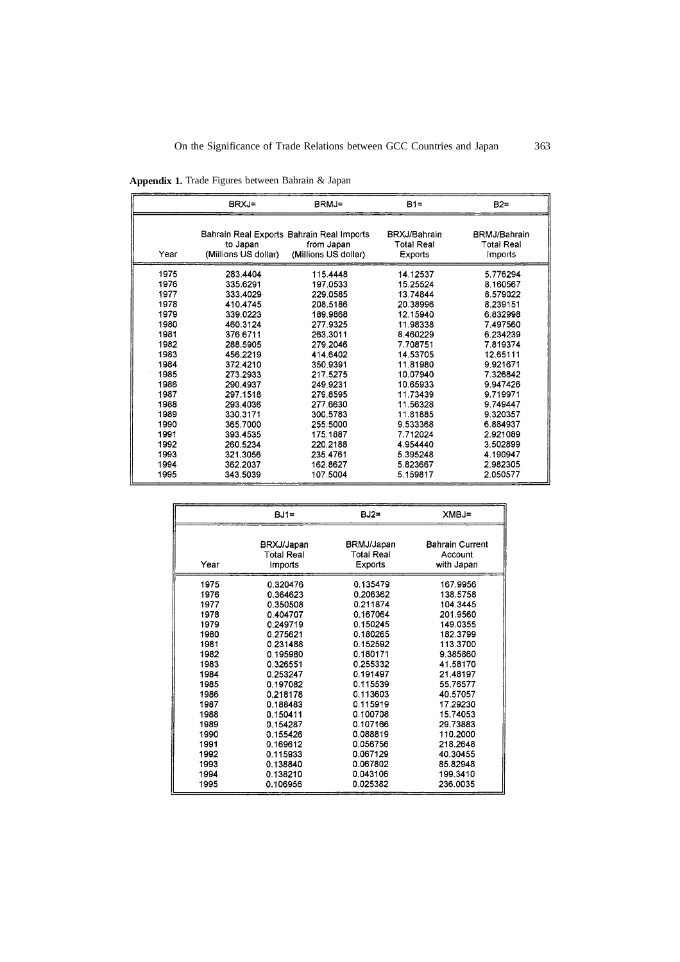|      | BRXJ=                | BRMJ=                                     | $B1=$             | $B2=$             |
|------|----------------------|-------------------------------------------|-------------------|-------------------|
|      |                      | Bahrain Real Exports Bahrain Real Imports | BRXJ/Bahrain      | BRMJ/Bahrain      |
|      | to Japan             | from Japan                                | <b>Total Real</b> | <b>Total Real</b> |
| Year | (Millions US dollar) | (Millions US dollar)                      | Exports           | <b>Imports</b>    |
| 1975 | 283.4404             | 115.4448                                  | 14.12537          | 5.776294          |
| 1976 | 335.6291             | 197.0533                                  | 15.25524          | 8.160567          |
| 1977 | 333.4029             | 229.0585                                  | 13.74844          | 8.579022          |
| 1978 | 410.4745             | 208.5186                                  | 20.38996          | 8.239151          |
| 1979 | 339.0223             | 189.9868                                  | 12.15940          | 6.832998          |
| 1980 | 460.3124             | 277.9325                                  | 11.98338          | 7.497560          |
| 1981 | 376.6711             | 263.3011                                  | 8.460229          | 6.234239          |
| 1982 | 288.5905             | 279.2046                                  | 7.708751          | 7.819374          |
| 1983 | 456.2219             | 414 6402                                  | 14.53705          | 12.65111          |
| 1984 | 372.4210             | 350.9391                                  | 11.81980          | 9.921671          |
| 1985 | 273.2933             | 217.5275                                  | 10.07940          | 7.326842          |
| 1986 | 290.4937             | 249.9231                                  | 10.65933          | 9.947426          |
| 1987 | 297.1518             | 279.8595                                  | 11.73439          | 9.719971          |
| 1988 | 293.4036             | 277.6630                                  | 11.56328          | 9.749447          |
| 1989 | 330.3171             | 300.5783                                  | 11.81885          | 9.320357          |
| 1990 | 365.7000             | 255,5000                                  | 9.533368          | 6.884937          |
| 1991 | 393.4535             | 175.1887                                  | 7.712024          | 2.921089          |
| 1992 | 260.5234             | 220.2188                                  | 4.954440          | 3.502899          |
| 1993 | 321.3056             | 235.4761                                  | 5.395248          | 4.190947          |
| 1994 | 362.2037             | 162.8627                                  | 5.823667          | 2.982305          |
| 1995 | 343.5039             | 107.5004                                  | 5.159817          | 2.050577          |

**Appendix 1.** Trade Figures between Bahrain & Japan

|      | $BJI =$    | $BJ2=$            | XMBJ=                  |
|------|------------|-------------------|------------------------|
|      |            |                   |                        |
|      | BRXJ/Japan | BRMJ/Japan        | <b>Bahrain Current</b> |
|      | Total Real | <b>Total Real</b> | Account                |
| Year | Imports    | Exports           | with Japan             |
| 1975 | 0.320476   | 0.135479          | 167.9956               |
| 1976 | 0.364623   | 0.206362          | 138.5758               |
| 1977 | 0.350508   | 0.211874          | 104 3445               |
| 1978 | 0.404707   | 0.167064          | 201.9560               |
| 1979 | 0.249719   | 0.150245          | 149.0355               |
| 1980 | 0.275621   | 0.180265          | 182.3799               |
| 1981 | 0.231488   | 0.152592          | 113.3700               |
| 1982 | 0.195980   | 0.180171          | 9.385860               |
| 1983 | 0.326551   | 0.255332          | 41.58170               |
| 1984 | 0.253247   | 0.191497          | 21.48197               |
| 1985 | 0.197082   | 0.115539          | 55.76577               |
| 1986 | 0.218178   | 0.113603          | 40.57057               |
| 1987 | 0.188483   | 0.115919          | 17.29230               |
| 1988 | 0.150411   | 0.100708          | 15.74053               |
| 1989 | 0.154287   | 0.107166          | 29.73883               |
| 1990 | 0.155426   | 0.088819          | 110.2000               |
| 1991 | 0.169612   | 0.056756          | 218.2648               |
| 1992 | 0.115933   | 0.067129          | 40.30455               |
| 1993 | 0.138840   | 0.067802          | 85.82948               |
| 1994 | 0.138210   | 0.043106          | 199.3410               |
| 1995 | 0.106956   | 0.025382          | 236.0035               |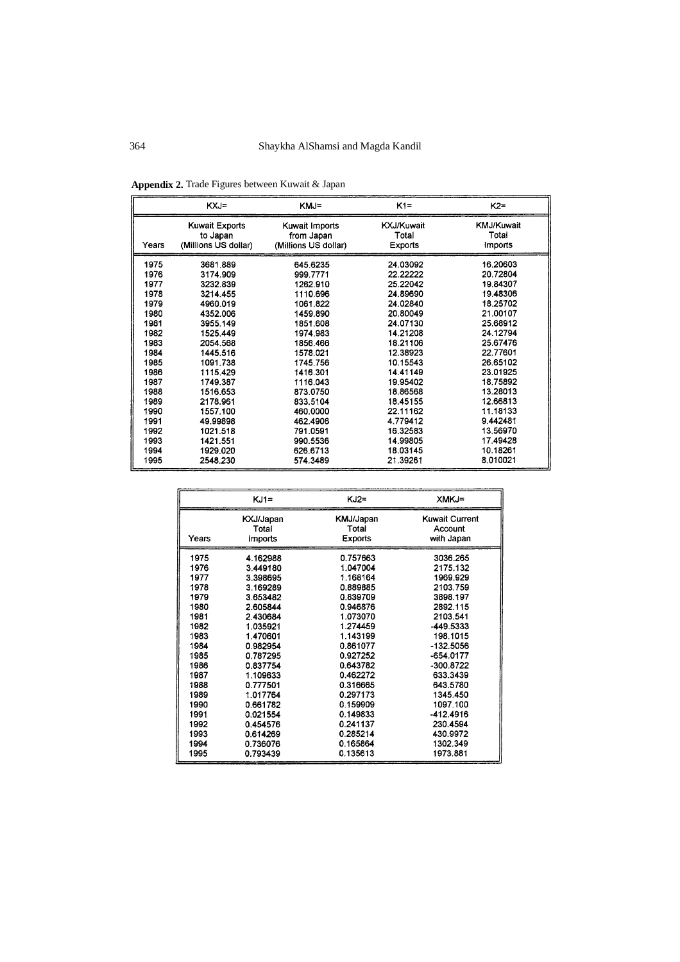|       | KXJ=                  | KMJ=                 | $K1 =$     | $K2=$             |
|-------|-----------------------|----------------------|------------|-------------------|
| Years | <b>Kuwait Exports</b> | Kuwait Imports       | KXJ/Kuwait | <b>KMJ/Kuwait</b> |
|       | to Japan              | from Japan           | Total      | Total             |
|       | (Millions US dollar)  | (Millions US dollar) | Exports    | <b>Imports</b>    |
| 1975  | 3681.889              | 645.6235             | 24.03092   | 16.20603          |
| 1976  | 3174.909              | 999.7771             | 22.22222   | 20.72804          |
| 1977  | 3232.839              | 1262.910             | 25.22042   | 19.84307          |
| 1978  | 3214.455              | 1110.696             | 24.89690   | 19 48306          |
| 1979  | 4960.019              | 1061.822             | 24.02840   | 18.25702          |
| 1980  | 4352.006              | 1459.890             | 20.80049   | 21.00107          |
| 1981  | 3955.149              | 1851.608             | 24.07130   | 25.68912          |
| 1982  | 1525 449              | 1974.983             | 14.21208   | 24.12794          |
| 1983  | 2054.568              | 1856.466             | 18.21106   | 25.67476          |
| 1984  | 1445.516              | 1578.021             | 12.38923   | 22.77601          |
| 1985  | 1091.738              | 1745.756             | 10.15543   | 26.65102          |
| 1986  | 1115.429              | 1416.301             | 14.41149   | 23.01925          |
| 1987  | 1749.387              | 1116.043             | 19.95402   | 18.75892          |
| 1988  | 1516,653              | 873.0750             | 18.86568   | 13.28013          |
| 1989  | 2178.961              | 833.5104             | 18.45155   | 12.66813          |
| 1990  | 1557.100              | 460.0000             | 22.11162   | 11.18133          |
| 1991  | 49.99898              | 462.4906             | 4.779412   | 9.442481          |
| 1992  | 1021.518              | 791.0591             | 16.32583   | 13.56970          |
| 1993  | 1421.551              | 990.5536             | 14.99805   | 17.49428          |
| 1994  | 1929.020              | 626.6713             | 18.03145   | 10.18261          |
| 1995  | 2548.230              | 574.3489             | 21.39261   | 8.010021          |

**Appendix 2.** Trade Figures between Kuwait & Japan

|       | KJ1=           | KJ2≂           | XMKJ=                 |
|-------|----------------|----------------|-----------------------|
| Years | KXJ/Japan      | KMJ/Japan      | <b>Kuwait Current</b> |
|       | Total          | Total          | Account               |
|       | <b>imports</b> | <b>Exports</b> | with Japan            |
| 1975  | 4.162988       | 0.757663       | 3036.265              |
| 1976  | 3.449180       | 1.047004       | 2175.132              |
| 1977  | 3.398695       | 1.168164       | 1969.929              |
| 1978  | 3.169289       | 0.889885       | 2103.759              |
| 1979  | 3.653482       | 0.839709       | 3898.197              |
| 1980  | 2.605844       | 0.946876       | 2892.115              |
| 1981  | 2.430684       | 1.073070       | 2103.541              |
| 1982  | 1.035921       | 1.274459       | -449.5333             |
| 1983  | 1.470601       | 1.143199       | 198.1015              |
| 1984  | 0.982954       | 0.861077       | -132.5056             |
| 1985  | 0.787295       | 0.927252       | -654.0177             |
| 1986  | 0.837754       | 0.643782       | -300 8722             |
| 1987  | 1.109633       | 0.462272       | 633.3439              |
| 1988  | 0.777501       | 0.316665       | 643.5780              |
| 1989  | 1.017764       | 0.297173       | 1345.450              |
| 1990  | 0.661782       | 0.159909       | 1097.100              |
| 1991  | 0.021554       | 0.149833       | $-412.4916$           |
| 1992  | 0.454576       | 0.241137       | 230.4594              |
| 1993  | 0.614269       | 0.285214       | 430.9972              |
| 1994  | 0.736076       | 0.165864       | 1302.349              |
| 1995  | 0.793439       | 0.135613       | 1973 881              |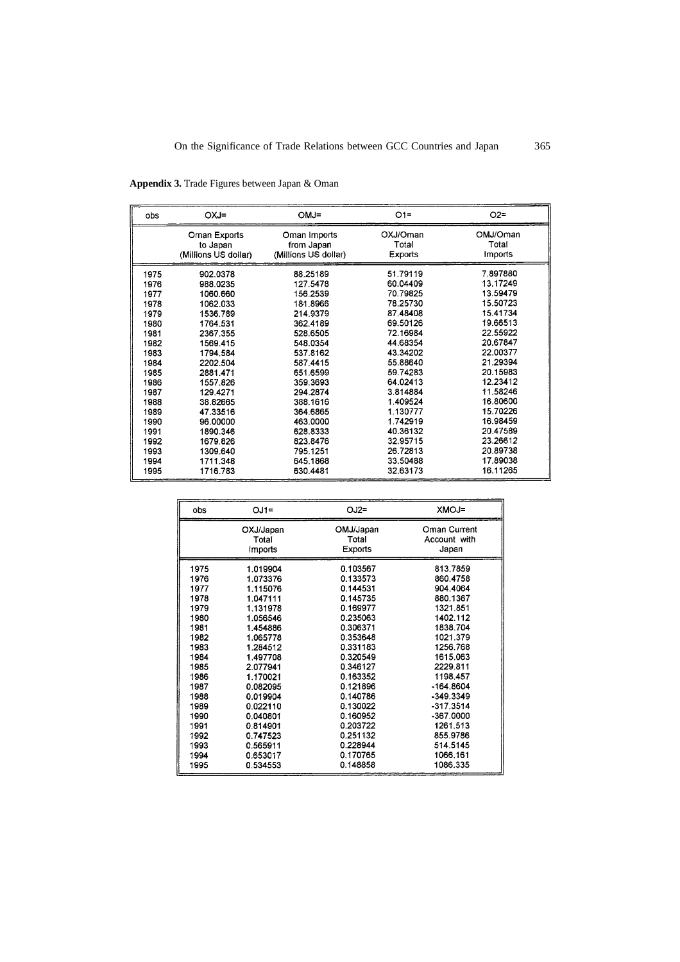| obs  | OXJ=                 | $OMJ=$               | $O1 =$   | $O2 =$   |
|------|----------------------|----------------------|----------|----------|
|      | Oman Exports         | Oman Imports         | OXJ/Oman | OMJ/Oman |
|      | to Japan             | from Japan           | Total    | Total    |
|      | (Millions US dollar) | (Millions US dollar) | Exports  | Imports  |
| 1975 | 902.0378             | 88.25189             | 51.79119 | 7.897880 |
| 1976 | 988.0235             | 127.5478             | 60.04409 | 13.17249 |
| 1977 | 1060.660             | 156.2539             | 70.79825 | 13.59479 |
| 1978 | 1062.033             | 181.8966             | 78.25730 | 15.50723 |
| 1979 | 1536.789             | 214.9379             | 87.48408 | 15.41734 |
| 1980 | 1764.531             | 362.4189             | 69.50126 | 19.66513 |
| 1981 | 2367.355             | 528.6505             | 72.16984 | 22.55922 |
| 1982 | 1569.415             | 548.0354             | 44.68354 | 20.67847 |
| 1983 | 1794.584             | 537.8162             | 43.34202 | 22.00377 |
| 1984 | 2202.504             | 587.4415             | 55.88640 | 21.29394 |
| 1985 | 2881.471             | 651.6599             | 59.74283 | 20.15983 |
| 1986 | 1557.826             | 359.3693             | 64.02413 | 12.23412 |
| 1987 | 129.4271             | 294.2874             | 3.814884 | 11.58246 |
| 1988 | 38.82665             | 388.1616             | 1.409524 | 16,80600 |
| 1989 | 47.33516             | 364.6865             | 1.130777 | 15.70226 |
| 1990 | 96.00000             | 463,0000             | 1.742919 | 16.98459 |
| 1991 | 1890.346             | 628.8333             | 40.36132 | 20.47589 |
| 1992 | 1679.826             | 823.8476             | 32.95715 | 23.26612 |
| 1993 | 1309.640             | 795.1251             | 26.72813 | 20.89738 |
| 1994 | 1711.348             | 645.1868             | 33.50488 | 17.89038 |
| 1995 | 1716.783             | 630.4481             | 32.63173 | 16.11265 |

**Appendix 3.** Trade Figures between Japan & Oman

| obs  | $OJ1=$                | $OJ2=$         | <b>XMOJ=</b> |
|------|-----------------------|----------------|--------------|
|      | OXJ/Japan             | OMJ/Japan      | Oman Current |
|      | Total                 | Total          | Account with |
|      | <i><b>Imports</b></i> | <b>Exports</b> | Japan        |
| 1975 | 1.019904              | 0.103567       | 813.7859     |
| 1976 | 1.073376              | 0.133573       | 860.4758     |
| 1977 | 1.115076              | 0.144531       | 904.4064     |
| 1978 | 1.047111              | 0.145735       | 880.1367     |
| 1979 | 1.131978              | 0.169977       | 1321.851     |
| 1980 | 1.056546              | 0.235063       | 1402 112     |
| 1981 | 1.454886              | 0.306371       | 1838.704     |
| 1982 | 1.065778              | 0.353648       | 1021.379     |
| 1983 | 1.284512              | 0.331183       | 1256.768     |
| 1984 | 1.497708              | 0.320549       | 1615.063     |
| 1985 | 2.077941              | 0.346127       | 2229.811     |
| 1986 | 1.170021              | 0.163352       | 1198.457     |
| 1987 | 0.082095              | 0.121896       | $-164.8604$  |
| 1988 | 0.019904              | 0.140786       | $-349.3349$  |
| 1989 | 0.022110              | 0.130022       | $-317.3514$  |
| 1990 | 0.040801              | 0.160952       | -367.0000    |
| 1991 | 0.814901              | 0.203722       | 1261.513     |
| 1992 | 0.747523              | 0.251132       | 855.9786     |
| 1993 | 0.565911              | 0.228944       | 514.5145     |
| 1994 | 0.653017              | 0.170765       | 1066.161     |
| 1995 | 0.534553              | 0.148858       | 1086.335     |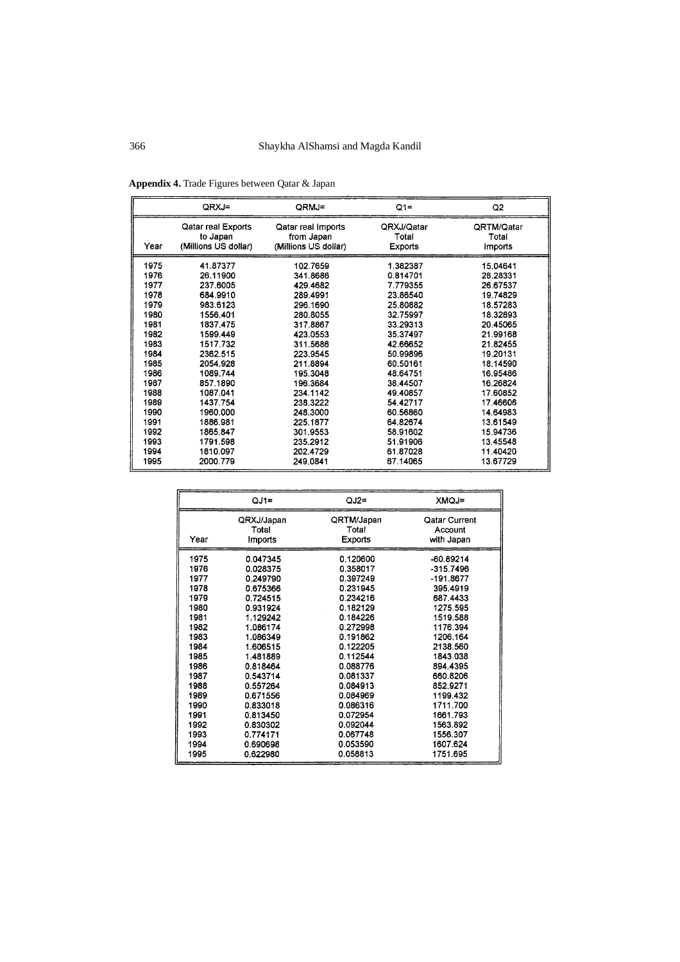|      | QRXJ=                | QRMJ=                | $Q1=$          | Q2         |
|------|----------------------|----------------------|----------------|------------|
| Year | Qatar real Exports   | Qatar real Imports   | QRXJ/Qatar     | QRTM/Qatar |
|      | to Japan             | from Japan           | Total          | Total      |
|      | (Millions US dollar) | (Millions US dollar) | <b>Exports</b> | Imports    |
| 1975 | 41.87377             | 102.7659             | 1.382387       | 15.04641   |
| 1976 | 26.11900             | 341.8686             | 0.814701       | 28.28331   |
| 1977 | 237.6005             | 429.4682             | 7.779355       | 26.67537   |
| 1978 | 684.9910             | 289.4991             | 23.86540       | 19.74829   |
| 1979 | 983.6123             | 296.1690             | 25.80882       | 18.57283   |
| 1980 | 1556 401             | 280.8055             | 32.75997       | 18.32893   |
| 1981 | 1837.475             | 317.8867             | 33.29313       | 20.45065   |
| 1982 | 1599.449             | 423.0553             | 35.37497       | 21.99168   |
| 1983 | 1517.732             | 311.5686             | 42.66652       | 21.82455   |
| 1984 | 2362.515             | 223.9545             | 50.99896       | 19.20131   |
| 1985 | 2054.928             | 211.8894             | 60.50161       | 18.14590   |
| 1986 | 1089.744             | 195.3048             | 48.64751       | 16.95486   |
| 1987 | 857.1890             | 196,3684             | 38.44507       | 16.26824   |
| 1988 | 1087.041             | 234.1142             | 49.40857       | 17.60852   |
| 1989 | 1437.754             | 238.3222             | 54.42717       | 17.46606   |
| 1990 | 1960.000             | 248.3000             | 60.56860       | 14.64983   |
| 1991 | 1886.981             | 225.1877             | 64.82674       | 13.61549   |
| 1992 | 1865.847             | 301.9553             | 58.91602       | 15.94736   |
| 1993 | 1791.598             | 235.2912             | 51.91906       | 13.45548   |
| 1994 | 1810.097             | 202.4729             | 61.87028       | 11.40420   |
| 1995 | 2000.779             | 249.0841             | 67.14065       | 13.67729   |

**Appendix 4.** Trade Figures between Qatar & Japan

|      | $QJ1=$     | $QJ2=$     | <b>XMQJ=</b>  |
|------|------------|------------|---------------|
| Year | QRXJ/Japan | QRTM/Japan | Qatar Current |
|      | Total      | Total      | Account       |
|      | Imports    | Exports    | with Japan    |
| 1975 | 0.047345   | 0.120600   | $-60.89214$   |
| 1976 | 0.028375   | 0.358017   | $-315.7496$   |
| 1977 | 0.249790   | 0.397249   | -191.8677     |
| 1978 | 0.675366   | 0.231945   | 395.4919      |
| 1979 | 0.724515   | 0.234216   | 687.4433      |
| 1980 | 0.931924   | 0.182129   | 1275.595      |
| 1981 | 1.129242   | 0.184226   | 1519.588      |
| 1982 | 1.086174   | 0.272998   | 1176.394      |
| 1983 | 1.086349   | 0.191862   | 1206.164      |
| 1984 | 1.606515   | 0.122205   | 2138.560      |
| 1985 | 1.481889   | 0.112544   | 1843.038      |
| 1986 | 0.818464   | 0.088776   | 894 4395      |
| 1987 | 0.543714   | 0.081337   | 660.8206      |
| 1988 | 0.557264   | 0.084913   | 852.9271      |
| 1989 | 0.671556   | 0.084969   | 1199.432      |
| 1990 | 0.833018   | 0.086316   | 1711.700      |
| 1991 | 0.813450   | 0.072954   | 1661.793      |
| 1992 | 0.830302   | 0.092044   | 1563.892      |
| 1993 | 0.774171   | 0.067748   | 1556.307      |
| 1994 | 0.690698   | 0.053590   | 1607.624      |
| 1995 | 0.622980   | 0.058813   | 1751.695      |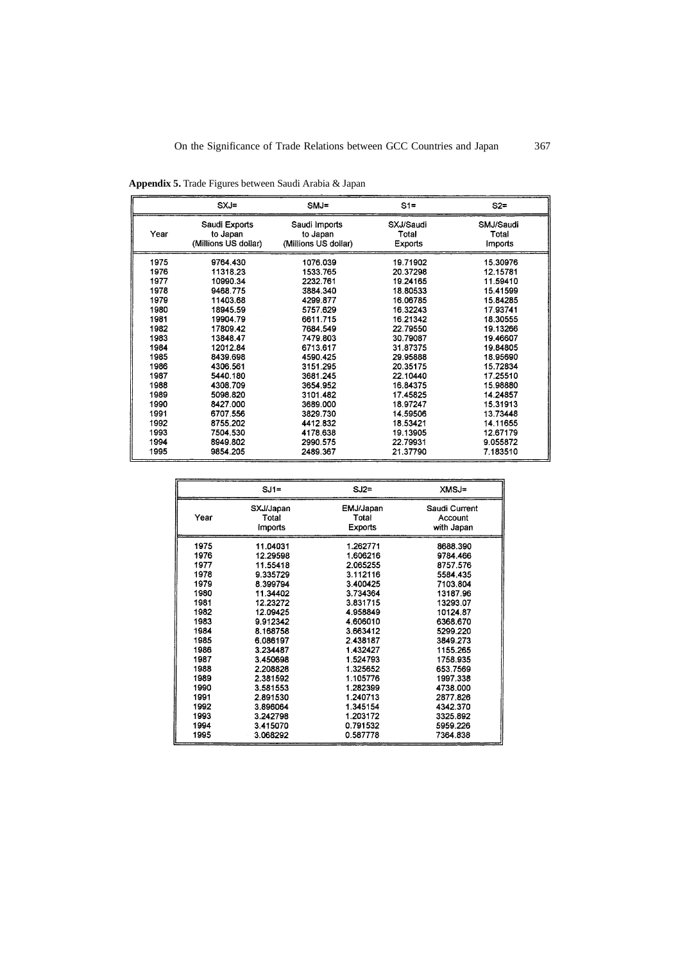|      | $SXJ =$                                           | $SMJ =$                                           | $S1 =$                               | $S2 =$                        |
|------|---------------------------------------------------|---------------------------------------------------|--------------------------------------|-------------------------------|
| Year | Saudi Exports<br>to Japan<br>(Millions US dollar) | Saudi Imports<br>to Japan<br>(Millions US dollar) | SXJ/Saudi<br>Total<br><b>Exports</b> | SMJ/Saudi<br>Total<br>Imports |
| 1975 | 9764.430                                          | 1076.039                                          | 19.71902                             | 15.30976                      |
| 1976 | 11318.23                                          | 1533.765                                          | 20.37298                             | 12.15781                      |
| 1977 | 10990.34                                          | 2232.761                                          | 19.24165                             | 11.59410                      |
| 1978 | 9468.775                                          | 3884 340                                          | 18.80533                             | 15.41599                      |
| 1979 | 11403.68                                          | 4299.877                                          | 16.06785                             | 15.84285                      |
| 1980 | 18945.59                                          | 5757.629                                          | 16.32243                             | 17.93741                      |
| 1981 | 19904.79                                          | 6611.715                                          | 16.21342                             | 18.30555                      |
| 1982 | 17809.42                                          | 7684.549                                          | 22.79550                             | 19.13266                      |
| 1983 | 13848.47                                          | 7479 803                                          | 30.79087                             | 19.46607                      |
| 1984 | 12012.84                                          | 6713.617                                          | 31 87375                             | 19.84805                      |
| 1985 | 8439.698                                          | 4590.425                                          | 29.95888                             | 18.95690                      |
| 1986 | 4306.561                                          | 3151.295                                          | 20.35175                             | 15.72834                      |
| 1987 | 5440.180                                          | 3681.245                                          | 22.10440                             | 17.25510                      |
| 1988 | 4308.709                                          | 3654.952                                          | 16.84375                             | 15.98880                      |
| 1989 | 5098.820                                          | 3101.482                                          | 17.45825                             | 14.24857                      |
| 1990 | 8427.000                                          | 3689.000                                          | 18.97247                             | 15.31913                      |
| 1991 | 6707.556                                          | 3829.730                                          | 14.59506                             | 13.73448                      |
| 1992 | 8755.202                                          | 4412.832                                          | 18.53421                             | 14.11655                      |
| 1993 | 7504.530                                          | 4178.638                                          | 19.13905                             | 12.67179                      |
| 1994 | 8949.802                                          | 2990.575                                          | 22.79931                             | 9.055872                      |
| 1995 | 9854.205                                          | 2489.367                                          | 21.37790                             | 7.183510                      |

**Appendix 5.** Trade Figures between Saudi Arabia & Japan

|      | $SJ1=$    | SJ2=      | XMSJ=         |
|------|-----------|-----------|---------------|
| Year | SXJ/Japan | EMJ/Japan | Saudi Current |
|      | Total     | Total     | Account       |
|      | Imports   | Exports   | with Japan    |
| 1975 | 11.04031  | 1.262771  | 8688.390      |
| 1976 | 12.29598  | 1.606216  | 9784.466      |
| 1977 | 11.55418  | 2.065255  | 8757.576      |
| 1978 | 9.335729  | 3.112116  | 5584.435      |
| 1979 | 8.399794  | 3.400425  | 7103.804      |
| 1980 | 11.34402  | 3.734364  | 13187.96      |
| 1981 | 12.23272  | 3.831715  | 13293.07      |
| 1982 | 12.09425  | 4.958849  | 10124.87      |
| 1983 | 9.912342  | 4.606010  | 6368.670      |
| 1984 | 8.168758  | 3.663412  | 5299.220      |
| 1985 | 6.086197  | 2.438187  | 3849.273      |
| 1986 | 3.234487  | 1.432427  | 1155.265      |
| 1987 | 3.450698  | 1.524793  | 1758.935      |
| 1988 | 2.208828  | 1.325652  | 653.7569      |
| 1989 | 2.381592  | 1.105776  | 1997.338      |
| 1990 | 3.581553  | 1.282399  | 4738.000      |
| 1991 | 2.891530  | 1.240713  | 2877.826      |
| 1992 | 3.896064  | 1.345154  | 4342.370      |
| 1993 | 3.242798  | 1.203172  | 3325.892      |
| 1994 | 3.415070  | 0.791532  | 5959.226      |
| 1995 | 3.068292  | 0.587778  | 7364.838      |